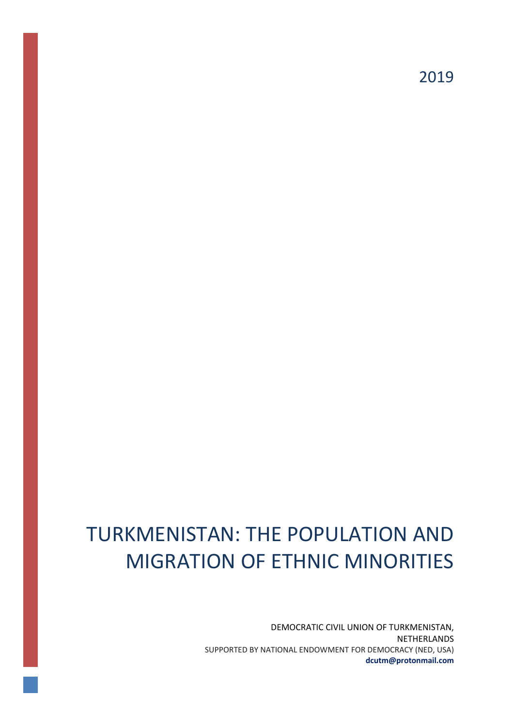2019

# TURKMENISTAN: THE POPULATION AND MIGRATION OF ETHNIC MINORITIES

DEMOCRATIC CIVIL UNION OF TURKMENISTAN, NETHERLANDS SUPPORTED BY NATIONAL ENDOWMENT FOR DEMOCRACY (NED, USA) **dcutm@protonmail.com**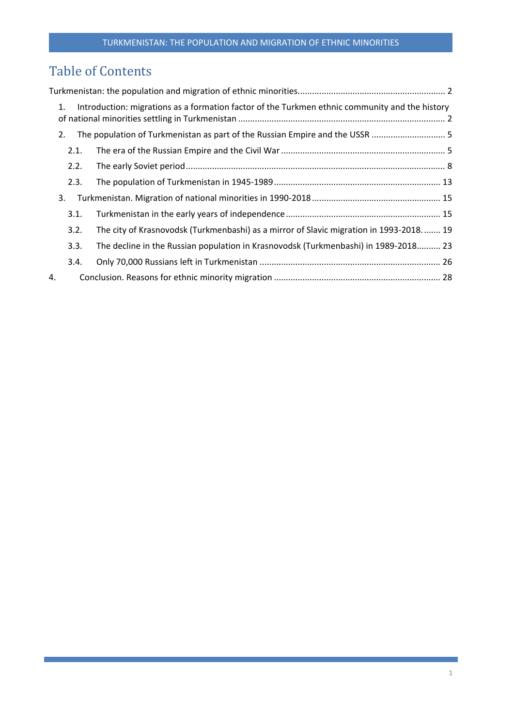## Table of Contents

| 1. |      | Introduction: migrations as a formation factor of the Turkmen ethnic community and the history |  |
|----|------|------------------------------------------------------------------------------------------------|--|
| 2. |      |                                                                                                |  |
|    | 2.1. |                                                                                                |  |
|    | 2.2. |                                                                                                |  |
|    | 2.3. |                                                                                                |  |
| 3. |      |                                                                                                |  |
|    | 3.1. |                                                                                                |  |
|    | 3.2. | The city of Krasnovodsk (Turkmenbashi) as a mirror of Slavic migration in 1993-2018 19         |  |
|    | 3.3. | The decline in the Russian population in Krasnovodsk (Turkmenbashi) in 1989-2018 23            |  |
|    | 3.4. |                                                                                                |  |
| 4. |      |                                                                                                |  |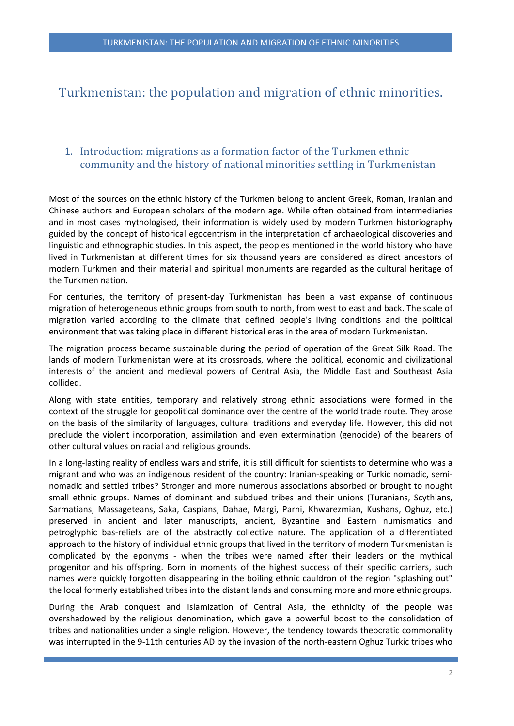## <span id="page-2-0"></span>Turkmenistan: the population and migration of ethnic minorities.

## <span id="page-2-1"></span>1. Introduction: migrations as a formation factor of the Turkmen ethnic community and the history of national minorities settling in Turkmenistan

Most of the sources on the ethnic history of the Turkmen belong to ancient Greek, Roman, Iranian and Chinese authors and European scholars of the modern age. While often obtained from intermediaries and in most cases mythologised, their information is widely used by modern Turkmen historiography guided by the concept of historical egocentrism in the interpretation of archaeological discoveries and linguistic and ethnographic studies. In this aspect, the peoples mentioned in the world history who have lived in Turkmenistan at different times for six thousand years are considered as direct ancestors of modern Turkmen and their material and spiritual monuments are regarded as the cultural heritage of the Turkmen nation.

For centuries, the territory of present-day Turkmenistan has been a vast expanse of continuous migration of heterogeneous ethnic groups from south to north, from west to east and back. The scale of migration varied according to the climate that defined people's living conditions and the political environment that was taking place in different historical eras in the area of modern Turkmenistan.

The migration process became sustainable during the period of operation of the Great Silk Road. The lands of modern Turkmenistan were at its crossroads, where the political, economic and civilizational interests of the ancient and medieval powers of Central Asia, the Middle East and Southeast Asia collided.

Along with state entities, temporary and relatively strong ethnic associations were formed in the context of the struggle for geopolitical dominance over the centre of the world trade route. They arose on the basis of the similarity of languages, cultural traditions and everyday life. However, this did not preclude the violent incorporation, assimilation and even extermination (genocide) of the bearers of other cultural values on racial and religious grounds.

In a long-lasting reality of endless wars and strife, it is still difficult for scientists to determine who was a migrant and who was an indigenous resident of the country: Iranian-speaking or Turkic nomadic, seminomadic and settled tribes? Stronger and more numerous associations absorbed or brought to nought small ethnic groups. Names of dominant and subdued tribes and their unions (Turanians, Scythians, Sarmatians, Massageteans, Saka, Caspians, Dahae, Margi, Parni, Khwarezmian, Kushans, Oghuz, etc.) preserved in ancient and later manuscripts, ancient, Byzantine and Eastern numismatics and petroglyphic bas-reliefs are of the abstractly collective nature. The application of a differentiated approach to the history of individual ethnic groups that lived in the territory of modern Turkmenistan is complicated by the eponyms - when the tribes were named after their leaders or the mythical progenitor and his offspring. Born in moments of the highest success of their specific carriers, such names were quickly forgotten disappearing in the boiling ethnic cauldron of the region "splashing out" the local formerly established tribes into the distant lands and consuming more and more ethnic groups.

During the Arab conquest and Islamization of Central Asia, the ethnicity of the people was overshadowed by the religious denomination, which gave a powerful boost to the consolidation of tribes and nationalities under a single religion. However, the tendency towards theocratic commonality was interrupted in the 9-11th centuries AD by the invasion of the north-eastern Oghuz Turkic tribes who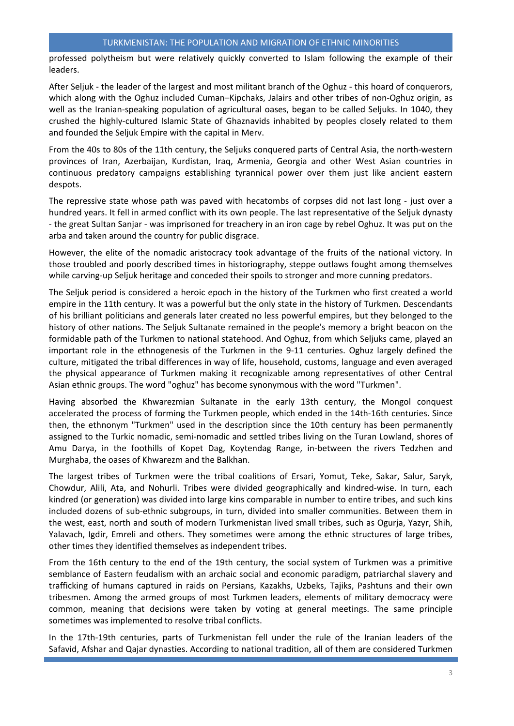professed polytheism but were relatively quickly converted to Islam following the example of their leaders.

After Seljuk - the leader of the largest and most militant branch of the Oghuz - this hoard of conquerors, which along with the Oghuz included Cuman–Kipchaks, Jalairs and other tribes of non-Oghuz origin, as well as the Iranian-speaking population of agricultural oases, began to be called Seljuks. In 1040, they crushed the highly-cultured Islamic State of Ghaznavids inhabited by peoples closely related to them and founded the Seljuk Empire with the capital in Merv.

From the 40s to 80s of the 11th century, the Seljuks conquered parts of Central Asia, the north-western provinces of Iran, Azerbaijan, Kurdistan, Iraq, Armenia, Georgia and other West Asian countries in continuous predatory campaigns establishing tyrannical power over them just like ancient eastern despots.

The repressive state whose path was paved with hecatombs of corpses did not last long - just over a hundred years. It fell in armed conflict with its own people. The last representative of the Seljuk dynasty - the great Sultan Sanjar - was imprisoned for treachery in an iron cage by rebel Oghuz. It was put on the arba and taken around the country for public disgrace.

However, the elite of the nomadic aristocracy took advantage of the fruits of the national victory. In those troubled and poorly described times in historiography, steppe outlaws fought among themselves while carving-up Seljuk heritage and conceded their spoils to stronger and more cunning predators.

The Seljuk period is considered a heroic epoch in the history of the Turkmen who first created a world empire in the 11th century. It was a powerful but the only state in the history of Turkmen. Descendants of his brilliant politicians and generals later created no less powerful empires, but they belonged to the history of other nations. The Seljuk Sultanate remained in the people's memory a bright beacon on the formidable path of the Turkmen to national statehood. And Oghuz, from which Seljuks came, played an important role in the ethnogenesis of the Turkmen in the 9-11 centuries. Oghuz largely defined the culture, mitigated the tribal differences in way of life, household, customs, language and even averaged the physical appearance of Turkmen making it recognizable among representatives of other Central Asian ethnic groups. The word "oghuz" has become synonymous with the word "Turkmen".

Having absorbed the Khwarezmian Sultanate in the early 13th century, the Mongol conquest accelerated the process of forming the Turkmen people, which ended in the 14th-16th centuries. Since then, the ethnonym "Turkmen" used in the description since the 10th century has been permanently assigned to the Turkic nomadic, semi-nomadic and settled tribes living on the Turan Lowland, shores of Amu Darya, in the foothills of Kopet Dag, Koytendag Range, in-between the rivers Tedzhen and Murghaba, the oases of Khwarezm and the Balkhan.

The largest tribes of Turkmen were the tribal coalitions of Ersari, Yomut, Teke, Sakar, Salur, Saryk, Chowdur, Alili, Ata, and Nohurli. Tribes were divided geographically and kindred-wise. In turn, each kindred (or generation) was divided into large kins comparable in number to entire tribes, and such kins included dozens of sub-ethnic subgroups, in turn, divided into smaller communities. Between them in the west, east, north and south of modern Turkmenistan lived small tribes, such as Ogurja, Yazyr, Shih, Yalavach, Igdir, Emreli and others. They sometimes were among the ethnic structures of large tribes, other times they identified themselves as independent tribes.

From the 16th century to the end of the 19th century, the social system of Turkmen was a primitive semblance of Eastern feudalism with an archaic social and economic paradigm, patriarchal slavery and trafficking of humans captured in raids on Persians, Kazakhs, Uzbeks, Tajiks, Pashtuns and their own tribesmen. Among the armed groups of most Turkmen leaders, elements of military democracy were common, meaning that decisions were taken by voting at general meetings. The same principle sometimes was implemented to resolve tribal conflicts.

In the 17th-19th centuries, parts of Turkmenistan fell under the rule of the Iranian leaders of the Safavid, Afshar and Qajar dynasties. According to national tradition, all of them are considered Turkmen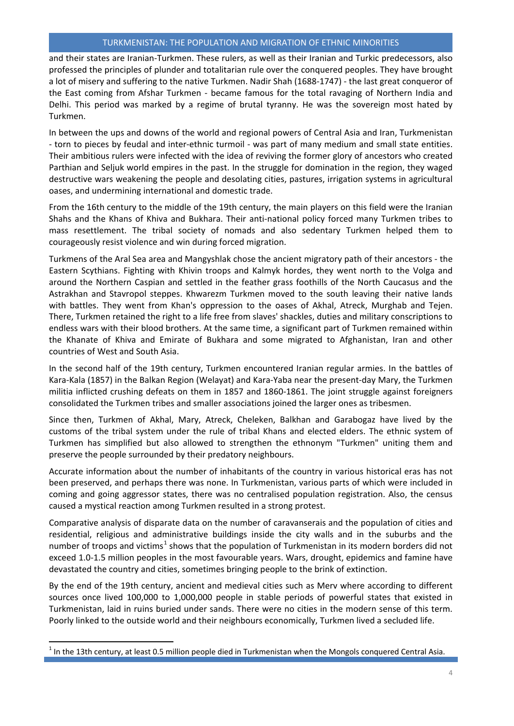and their states are Iranian-Turkmen. These rulers, as well as their Iranian and Turkic predecessors, also professed the principles of plunder and totalitarian rule over the conquered peoples. They have brought a lot of misery and suffering to the native Turkmen. Nadir Shah (1688-1747) - the last great conqueror of the East coming from Afshar Turkmen - became famous for the total ravaging of Northern India and Delhi. This period was marked by a regime of brutal tyranny. He was the sovereign most hated by Turkmen.

In between the ups and downs of the world and regional powers of Central Asia and Iran, Turkmenistan - torn to pieces by feudal and inter-ethnic turmoil - was part of many medium and small state entities. Their ambitious rulers were infected with the idea of reviving the former glory of ancestors who created Parthian and Seljuk world empires in the past. In the struggle for domination in the region, they waged destructive wars weakening the people and desolating cities, pastures, irrigation systems in agricultural oases, and undermining international and domestic trade.

From the 16th century to the middle of the 19th century, the main players on this field were the Iranian Shahs and the Khans of Khiva and Bukhara. Their anti-national policy forced many Turkmen tribes to mass resettlement. The tribal society of nomads and also sedentary Turkmen helped them to courageously resist violence and win during forced migration.

Turkmens of the Aral Sea area and Mangyshlak chose the ancient migratory path of their ancestors - the Eastern Scythians. Fighting with Khivin troops and Kalmyk hordes, they went north to the Volga and around the Northern Caspian and settled in the feather grass foothills of the North Caucasus and the Astrakhan and Stavropol steppes. Khwarezm Turkmen moved to the south leaving their native lands with battles. They went from Khan's oppression to the oases of Akhal, Atreck, Murghab and Tejen. There, Turkmen retained the right to a life free from slaves' shackles, duties and military conscriptions to endless wars with their blood brothers. At the same time, a significant part of Turkmen remained within the Khanate of Khiva and Emirate of Bukhara and some migrated to Afghanistan, Iran and other countries of West and South Asia.

In the second half of the 19th century, Turkmen encountered Iranian regular armies. In the battles of Kara-Kala (1857) in the Balkan Region (Welayat) and Kara-Yaba near the present-day Mary, the Turkmen militia inflicted crushing defeats on them in 1857 and 1860-1861. The joint struggle against foreigners consolidated the Turkmen tribes and smaller associations joined the larger ones as tribesmen.

Since then, Turkmen of Akhal, Mary, Atreck, Cheleken, Balkhan and Garabogaz have lived by the customs of the tribal system under the rule of tribal Khans and elected elders. The ethnic system of Turkmen has simplified but also allowed to strengthen the ethnonym "Turkmen" uniting them and preserve the people surrounded by their predatory neighbours.

Accurate information about the number of inhabitants of the country in various historical eras has not been preserved, and perhaps there was none. In Turkmenistan, various parts of which were included in coming and going aggressor states, there was no centralised population registration. Also, the census caused a mystical reaction among Turkmen resulted in a strong protest.

Comparative analysis of disparate data on the number of caravanserais and the population of cities and residential, religious and administrative buildings inside the city walls and in the suburbs and the number of troops and victims<sup>[1](#page-4-0)</sup> shows that the population of Turkmenistan in its modern borders did not exceed 1.0-1.5 million peoples in the most favourable years. Wars, drought, epidemics and famine have devastated the country and cities, sometimes bringing people to the brink of extinction.

By the end of the 19th century, ancient and medieval cities such as Merv where according to different sources once lived 100,000 to 1,000,000 people in stable periods of powerful states that existed in Turkmenistan, laid in ruins buried under sands. There were no cities in the modern sense of this term. Poorly linked to the outside world and their neighbours economically, Turkmen lived a secluded life.

 $\overline{a}$ 

<span id="page-4-0"></span>In the 13th century, at least 0.5 million people died in Turkmenistan when the Mongols conquered Central Asia.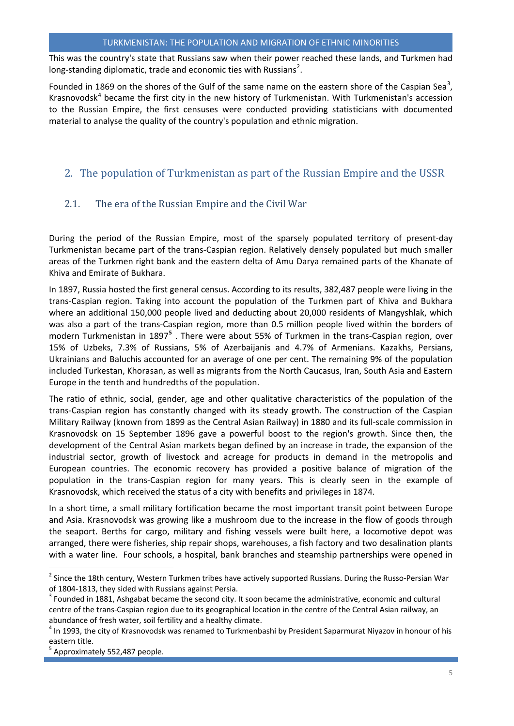This was the country's state that Russians saw when their power reached these lands, and Turkmen had long-standing diplomatic, trade and economic ties with Russians<sup>[2](#page-5-2)</sup>.

Founded in 1869 on the shores of the Gulf of the same name on the eastern shore of the Caspian Sea<sup>[3](#page-5-3)</sup>, Krasnovodsk<sup>[4](#page-5-4)</sup> became the first city in the new history of Turkmenistan. With Turkmenistan's accession to the Russian Empire, the first censuses were conducted providing statisticians with documented material to analyse the quality of the country's population and ethnic migration.

## <span id="page-5-0"></span>2. The population of Turkmenistan as part of the Russian Empire and the USSR

## <span id="page-5-1"></span>2.1. The era of the Russian Empire and the Civil War

During the period of the Russian Empire, most of the sparsely populated territory of present-day Turkmenistan became part of the trans-Caspian region. Relatively densely populated but much smaller areas of the Turkmen right bank and the eastern delta of Amu Darya remained parts of the Khanate of Khiva and Emirate of Bukhara.

In 1897, Russia hosted the first general census. According to its results, 382,487 people were living in the trans-Caspian region. Taking into account the population of the Turkmen part of Khiva and Bukhara where an additional 150,000 people lived and deducting about 20,000 residents of Mangyshlak, which was also a part of the trans-Caspian region, more than 0.5 million people lived within the borders of modern Turkmenistan in 1897**[5](#page-5-5)** . There were about 55% of Turkmen in the trans-Caspian region, over 15% of Uzbeks, 7.3% of Russians, 5% of Azerbaijanis and 4.7% of Armenians. Kazakhs, Persians, Ukrainians and Baluchis accounted for an average of one per cent. The remaining 9% of the population included Turkestan, Khorasan, as well as migrants from the North Caucasus, Iran, South Asia and Eastern Europe in the tenth and hundredths of the population.

The ratio of ethnic, social, gender, age and other qualitative characteristics of the population of the trans-Caspian region has constantly changed with its steady growth. The construction of the Caspian Military Railway (known from 1899 as the Central Asian Railway) in 1880 and its full-scale commission in Krasnovodsk on 15 September 1896 gave a powerful boost to the region's growth. Since then, the development of the Central Asian markets began defined by an increase in trade, the expansion of the industrial sector, growth of livestock and acreage for products in demand in the metropolis and European countries. The economic recovery has provided a positive balance of migration of the population in the trans-Caspian region for many years. This is clearly seen in the example of Krasnovodsk, which received the status of a city with benefits and privileges in 1874.

In a short time, a small military fortification became the most important transit point between Europe and Asia. Krasnovodsk was growing like a mushroom due to the increase in the flow of goods through the seaport. Berths for cargo, military and fishing vessels were built here, a locomotive depot was arranged, there were fisheries, ship repair shops, warehouses, a fish factory and two desalination plants with a water line. Four schools, a hospital, bank branches and steamship partnerships were opened in

 $\overline{a}$ 

<span id="page-5-2"></span><sup>&</sup>lt;sup>2</sup> Since the 18th century, Western Turkmen tribes have actively supported Russians. During the Russo-Persian War of 1804-1813, they sided with Russians against Persia.<br><sup>3</sup> Founded in 1881, Ashgabat became the second city. It soon became the administrative, economic and cultural

<span id="page-5-3"></span>centre of the trans-Caspian region due to its geographical location in the centre of the Central Asian railway, an abundance of fresh water, soil fertility and a healthy climate.<br><sup>4</sup> In 1993, the city of Krasnovodsk was renamed to Turkmenbashi by President Saparmurat Niyazov in honour of his

<span id="page-5-4"></span>eastern title.

<span id="page-5-5"></span><sup>5</sup> Approximately 552,487 people.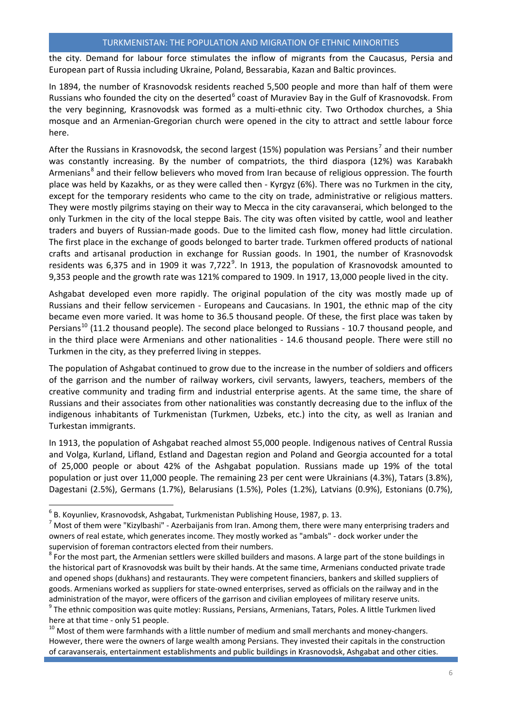the city. Demand for labour force stimulates the inflow of migrants from the Caucasus, Persia and European part of Russia including Ukraine, Poland, Bessarabia, Kazan and Baltic provinces.

In 1894, the number of Krasnovodsk residents reached 5,500 people and more than half of them were Russians who founded the city on the deserted<sup>[6](#page-6-0)</sup> coast of Muraviev Bay in the Gulf of Krasnovodsk. From the very beginning, Krasnovodsk was formed as a multi-ethnic city. Two Orthodox churches, a Shia mosque and an Armenian-Gregorian church were opened in the city to attract and settle labour force here.

After the Russians in Krasnovodsk, the second largest (15%) population was Persians<sup>[7](#page-6-1)</sup> and their number was constantly increasing. By the number of compatriots, the third diaspora (12%) was Karabakh Armenians<sup>[8](#page-6-2)</sup> and their fellow believers who moved from Iran because of religious oppression. The fourth place was held by Kazakhs, or as they were called then - Kyrgyz (6%). There was no Turkmen in the city, except for the temporary residents who came to the city on trade, administrative or religious matters. They were mostly pilgrims staying on their way to Mecca in the city caravanserai, which belonged to the only Turkmen in the city of the local steppe Bais. The city was often visited by cattle, wool and leather traders and buyers of Russian-made goods. Due to the limited cash flow, money had little circulation. The first place in the exchange of goods belonged to barter trade. Turkmen offered products of national crafts and artisanal production in exchange for Russian goods. In 1901, the number of Krasnovodsk residents was 6,375 and in 1[9](#page-6-3)09 it was 7,722 $^9$ . In 1913, the population of Krasnovodsk amounted to 9,353 people and the growth rate was 121% compared to 1909. In 1917, 13,000 people lived in the city.

Ashgabat developed even more rapidly. The original population of the city was mostly made up of Russians and their fellow servicemen - Europeans and Caucasians. In 1901, the ethnic map of the city became even more varied. It was home to 36.5 thousand people. Of these, the first place was taken by Persians<sup>[10](#page-6-4)</sup> (11.2 thousand people). The second place belonged to Russians - 10.7 thousand people, and in the third place were Armenians and other nationalities - 14.6 thousand people. There were still no Turkmen in the city, as they preferred living in steppes.

The population of Ashgabat continued to grow due to the increase in the number of soldiers and officers of the garrison and the number of railway workers, civil servants, lawyers, teachers, members of the creative community and trading firm and industrial enterprise agents. At the same time, the share of Russians and their associates from other nationalities was constantly decreasing due to the influx of the indigenous inhabitants of Turkmenistan (Turkmen, Uzbeks, etc.) into the city, as well as Iranian and Turkestan immigrants.

In 1913, the population of Ashgabat reached almost 55,000 people. Indigenous natives of Central Russia and Volga, Kurland, Lifland, Estland and Dagestan region and Poland and Georgia accounted for a total of 25,000 people or about 42% of the Ashgabat population. Russians made up 19% of the total population or just over 11,000 people. The remaining 23 per cent were Ukrainians (4.3%), Tatars (3.8%), Dagestani (2.5%), Germans (1.7%), Belarusians (1.5%), Poles (1.2%), Latvians (0.9%), Estonians (0.7%),

<span id="page-6-3"></span>here at that time - only 51 people.<br> $^{10}$  Most of them were farmhands with a little number of medium and small merchants and money-changers.

<span id="page-6-4"></span>However, there were the owners of large wealth among Persians. They invested their capitals in the construction of caravanserais, entertainment establishments and public buildings in Krasnovodsk, Ashgabat and other cities.

<span id="page-6-0"></span> ${}^{6}$  B. Koyunliev, Krasnovodsk, Ashgabat, Turkmenistan Publishing House, 1987, p. 13.

<span id="page-6-1"></span> $<sup>7</sup>$  Most of them were "Kizylbashi" - Azerbaijanis from Iran. Among them, there were many enterprising traders and</sup> owners of real estate, which generates income. They mostly worked as "ambals" - dock worker under the supervision of foreman contractors elected from their numbers.

<span id="page-6-2"></span> $8$  For the most part, the Armenian settlers were skilled builders and masons. A large part of the stone buildings in the historical part of Krasnovodsk was built by their hands. At the same time, Armenians conducted private trade and opened shops (dukhans) and restaurants. They were competent financiers, bankers and skilled suppliers of goods. Armenians worked as suppliers for state-owned enterprises, served as officials on the railway and in the administration of the mayor, were officers of the garrison and civilian employees of military reserve units.<br><sup>9</sup> The ethnic composition was quite motley: Russians, Persians, Armenians, Tatars, Poles. A little Turkmen lived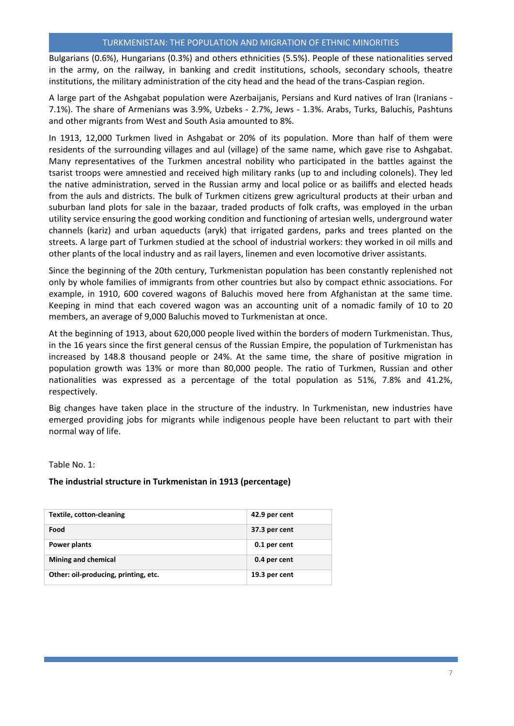Bulgarians (0.6%), Hungarians (0.3%) and others ethnicities (5.5%). People of these nationalities served in the army, on the railway, in banking and credit institutions, schools, secondary schools, theatre institutions, the military administration of the city head and the head of the trans-Caspian region.

A large part of the Ashgabat population were Azerbaijanis, Persians and Kurd natives of Iran (Iranians - 7.1%). The share of Armenians was 3.9%, Uzbeks - 2.7%, Jews - 1.3%. Arabs, Turks, Baluchis, Pashtuns and other migrants from West and South Asia amounted to 8%.

In 1913, 12,000 Turkmen lived in Ashgabat or 20% of its population. More than half of them were residents of the surrounding villages and aul (village) of the same name, which gave rise to Ashgabat. Many representatives of the Turkmen ancestral nobility who participated in the battles against the tsarist troops were amnestied and received high military ranks (up to and including colonels). They led the native administration, served in the Russian army and local police or as bailiffs and elected heads from the auls and districts. The bulk of Turkmen citizens grew agricultural products at their urban and suburban land plots for sale in the bazaar, traded products of folk crafts, was employed in the urban utility service ensuring the good working condition and functioning of artesian wells, underground water channels (kariz) and urban aqueducts (aryk) that irrigated gardens, parks and trees planted on the streets. A large part of Turkmen studied at the school of industrial workers: they worked in oil mills and other plants of the local industry and as rail layers, linemen and even locomotive driver assistants.

Since the beginning of the 20th century, Turkmenistan population has been constantly replenished not only by whole families of immigrants from other countries but also by compact ethnic associations. For example, in 1910, 600 covered wagons of Baluchis moved here from Afghanistan at the same time. Keeping in mind that each covered wagon was an accounting unit of a nomadic family of 10 to 20 members, an average of 9,000 Baluchis moved to Turkmenistan at once.

At the beginning of 1913, about 620,000 people lived within the borders of modern Turkmenistan. Thus, in the 16 years since the first general census of the Russian Empire, the population of Turkmenistan has increased by 148.8 thousand people or 24%. At the same time, the share of positive migration in population growth was 13% or more than 80,000 people. The ratio of Turkmen, Russian and other nationalities was expressed as a percentage of the total population as 51%, 7.8% and 41.2%, respectively.

Big changes have taken place in the structure of the industry. In Turkmenistan, new industries have emerged providing jobs for migrants while indigenous people have been reluctant to part with their normal way of life.

Table No. 1:

#### **The industrial structure in Turkmenistan in 1913 (percentage)**

| <b>Textile, cotton-cleaning</b>      | 42.9 per cent |
|--------------------------------------|---------------|
| Food                                 | 37.3 per cent |
| <b>Power plants</b>                  | 0.1 per cent  |
| Mining and chemical                  | 0.4 per cent  |
| Other: oil-producing, printing, etc. | 19.3 per cent |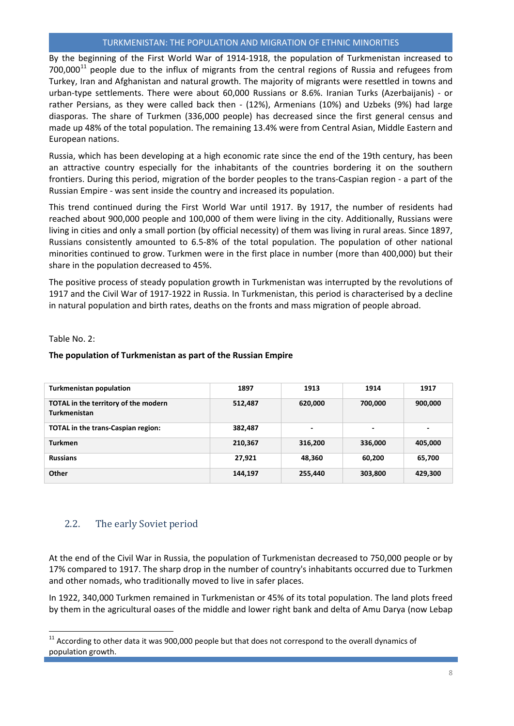By the beginning of the First World War of 1914-1918, the population of Turkmenistan increased to  $700,000$ <sup>[11](#page-8-1)</sup> people due to the influx of migrants from the central regions of Russia and refugees from Turkey, Iran and Afghanistan and natural growth. The majority of migrants were resettled in towns and urban-type settlements. There were about 60,000 Russians or 8.6%. Iranian Turks (Azerbaijanis) - or rather Persians, as they were called back then - (12%), Armenians (10%) and Uzbeks (9%) had large diasporas. The share of Turkmen (336,000 people) has decreased since the first general census and made up 48% of the total population. The remaining 13.4% were from Central Asian, Middle Eastern and European nations.

Russia, which has been developing at a high economic rate since the end of the 19th century, has been an attractive country especially for the inhabitants of the countries bordering it on the southern frontiers. During this period, migration of the border peoples to the trans-Caspian region - a part of the Russian Empire - was sent inside the country and increased its population.

This trend continued during the First World War until 1917. By 1917, the number of residents had reached about 900,000 people and 100,000 of them were living in the city. Additionally, Russians were living in cities and only a small portion (by official necessity) of them was living in rural areas. Since 1897, Russians consistently amounted to 6.5-8% of the total population. The population of other national minorities continued to grow. Turkmen were in the first place in number (more than 400,000) but their share in the population decreased to 45%.

The positive process of steady population growth in Turkmenistan was interrupted by the revolutions of 1917 and the Civil War of 1917-1922 in Russia. In Turkmenistan, this period is characterised by a decline in natural population and birth rates, deaths on the fronts and mass migration of people abroad.

#### Table No. 2:

l

#### **The population of Turkmenistan as part of the Russian Empire**

| <b>Turkmenistan population</b>                       | 1897    | 1913    | 1914                     | 1917                     |
|------------------------------------------------------|---------|---------|--------------------------|--------------------------|
| TOTAL in the territory of the modern<br>Turkmenistan | 512,487 | 620,000 | 700,000                  | 900,000                  |
| <b>TOTAL</b> in the trans-Caspian region:            | 382,487 | -       | $\overline{\phantom{0}}$ | $\overline{\phantom{0}}$ |
| <b>Turkmen</b>                                       | 210,367 | 316,200 | 336,000                  | 405,000                  |
| <b>Russians</b>                                      | 27,921  | 48,360  | 60,200                   | 65,700                   |
| Other                                                | 144,197 | 255,440 | 303,800                  | 429,300                  |

#### <span id="page-8-0"></span>2.2. The early Soviet period

At the end of the Civil War in Russia, the population of Turkmenistan decreased to 750,000 people or by 17% compared to 1917. The sharp drop in the number of country's inhabitants occurred due to Turkmen and other nomads, who traditionally moved to live in safer places.

In 1922, 340,000 Turkmen remained in Turkmenistan or 45% of its total population. The land plots freed by them in the agricultural oases of the middle and lower right bank and delta of Amu Darya (now Lebap

<span id="page-8-1"></span> $11$  According to other data it was 900,000 people but that does not correspond to the overall dynamics of population growth.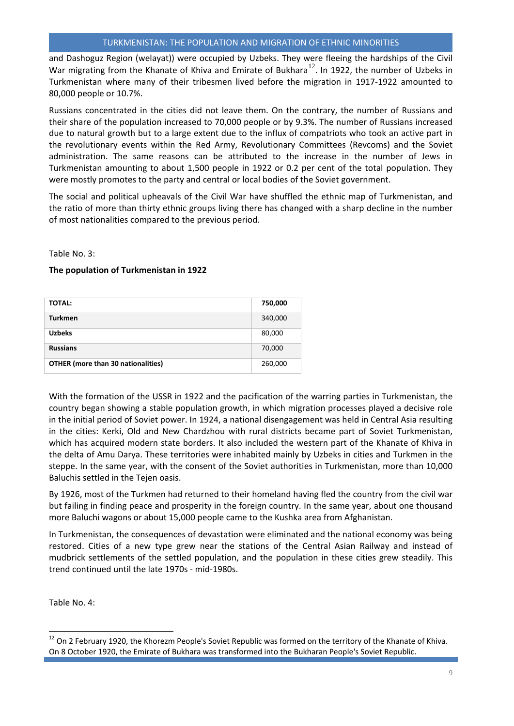and Dashoguz Region (welayat)) were occupied by Uzbeks. They were fleeing the hardships of the Civil War migrating from the Khanate of Khiva and Emirate of Bukhara<sup>[12](#page-9-0)</sup>. In 1922, the number of Uzbeks in Turkmenistan where many of their tribesmen lived before the migration in 1917-1922 amounted to 80,000 people or 10.7%.

Russians concentrated in the cities did not leave them. On the contrary, the number of Russians and their share of the population increased to 70,000 people or by 9.3%. The number of Russians increased due to natural growth but to a large extent due to the influx of compatriots who took an active part in the revolutionary events within the Red Army, Revolutionary Committees (Revcoms) and the Soviet administration. The same reasons can be attributed to the increase in the number of Jews in Turkmenistan amounting to about 1,500 people in 1922 or 0.2 per cent of the total population. They were mostly promotes to the party and central or local bodies of the Soviet government.

The social and political upheavals of the Civil War have shuffled the ethnic map of Turkmenistan, and the ratio of more than thirty ethnic groups living there has changed with a sharp decline in the number of most nationalities compared to the previous period.

#### Table No. 3:

#### **The population of Turkmenistan in 1922**

| <b>TOTAL:</b>                             | 750,000 |
|-------------------------------------------|---------|
| <b>Turkmen</b>                            | 340,000 |
| <b>Uzbeks</b>                             | 80,000  |
| <b>Russians</b>                           | 70,000  |
| <b>OTHER</b> (more than 30 nationalities) | 260,000 |

With the formation of the USSR in 1922 and the pacification of the warring parties in Turkmenistan, the country began showing a stable population growth, in which migration processes played a decisive role in the initial period of Soviet power. In 1924, a national disengagement was held in Central Asia resulting in the cities: Kerki, Old and New Chardzhou with rural districts became part of Soviet Turkmenistan, which has acquired modern state borders. It also included the western part of the Khanate of Khiva in the delta of Amu Darya. These territories were inhabited mainly by Uzbeks in cities and Turkmen in the steppe. In the same year, with the consent of the Soviet authorities in Turkmenistan, more than 10,000 Baluchis settled in the Tejen oasis.

By 1926, most of the Turkmen had returned to their homeland having fled the country from the civil war but failing in finding peace and prosperity in the foreign country. In the same year, about one thousand more Baluchi wagons or about 15,000 people came to the Kushka area from Afghanistan.

In Turkmenistan, the consequences of devastation were eliminated and the national economy was being restored. Cities of a new type grew near the stations of the Central Asian Railway and instead of mudbrick settlements of the settled population, and the population in these cities grew steadily. This trend continued until the late 1970s - mid-1980s.

Table No. 4:

l

<span id="page-9-0"></span><sup>&</sup>lt;sup>12</sup> On 2 February 1920, the Khorezm People's Soviet Republic was formed on the territory of the Khanate of Khiva. On 8 October 1920, the Emirate of Bukhara was transformed into the Bukharan People's Soviet Republic.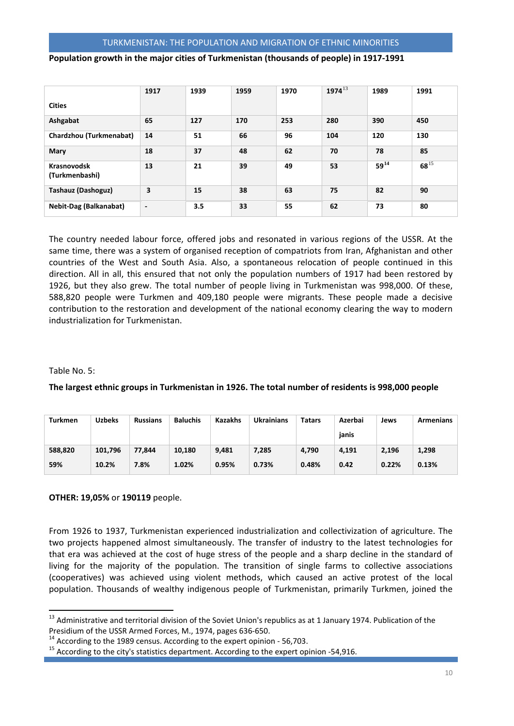#### **Population growth in the major cities of Turkmenistan (thousands of people) in 1917-1991**

|                               | 1917                     | 1939 | 1959 | 1970 | $1974^{13}$ | 1989      | 1991      |
|-------------------------------|--------------------------|------|------|------|-------------|-----------|-----------|
| <b>Cities</b>                 |                          |      |      |      |             |           |           |
| Ashgabat                      | 65                       | 127  | 170  | 253  | 280         | 390       | 450       |
| Chardzhou (Turkmenabat)       | 14                       | 51   | 66   | 96   | 104         | 120       | 130       |
| Mary                          | 18                       | 37   | 48   | 62   | 70          | 78        | 85        |
| Krasnovodsk<br>(Turkmenbashi) | 13                       | 21   | 39   | 49   | 53          | $59^{14}$ | $68^{15}$ |
| <b>Tashauz (Dashoguz)</b>     | 3                        | 15   | 38   | 63   | 75          | 82        | 90        |
| <b>Nebit-Dag (Balkanabat)</b> | $\overline{\phantom{a}}$ | 3.5  | 33   | 55   | 62          | 73        | 80        |

The country needed labour force, offered jobs and resonated in various regions of the USSR. At the same time, there was a system of organised reception of compatriots from Iran, Afghanistan and other countries of the West and South Asia. Also, a spontaneous relocation of people continued in this direction. All in all, this ensured that not only the population numbers of 1917 had been restored by 1926, but they also grew. The total number of people living in Turkmenistan was 998,000. Of these, 588,820 people were Turkmen and 409,180 people were migrants. These people made a decisive contribution to the restoration and development of the national economy clearing the way to modern industrialization for Turkmenistan.

#### Table No. 5:

l

#### **The largest ethnic groups in Turkmenistan in 1926. The total number of residents is 998,000 people**

| Turkmen | <b>Uzbeks</b> | <b>Russians</b> | <b>Baluchis</b> | <b>Kazakhs</b> | <b>Ukrainians</b> | <b>Tatars</b> | Azerbai<br>janis | Jews  | Armenians |
|---------|---------------|-----------------|-----------------|----------------|-------------------|---------------|------------------|-------|-----------|
| 588,820 | 101.796       | 77.844          | 10,180          | 9,481          | 7,285             | 4,790         | 4,191            | 2.196 | 1,298     |
| 59%     | 10.2%         | 7.8%            | 1.02%           | 0.95%          | 0.73%             | 0.48%         | 0.42             | 0.22% | 0.13%     |

#### **OTHER: 19,05%** or **190119** people.

From 1926 to 1937, Turkmenistan experienced industrialization and collectivization of agriculture. The two projects happened almost simultaneously. The transfer of industry to the latest technologies for that era was achieved at the cost of huge stress of the people and a sharp decline in the standard of living for the majority of the population. The transition of single farms to collective associations (cooperatives) was achieved using violent methods, which caused an active protest of the local population. Thousands of wealthy indigenous people of Turkmenistan, primarily Turkmen, joined the

<span id="page-10-0"></span> $13$  Administrative and territorial division of the Soviet Union's republics as at 1 January 1974. Publication of the Presidium of the USSR Armed Forces, M., 1974, pages 636-650.

<span id="page-10-2"></span><span id="page-10-1"></span>

<sup>&</sup>lt;sup>14</sup> According to the 1989 census. According to the expert opinion - 56,703.<br><sup>15</sup> According to the city's statistics department. According to the expert opinion -54,916.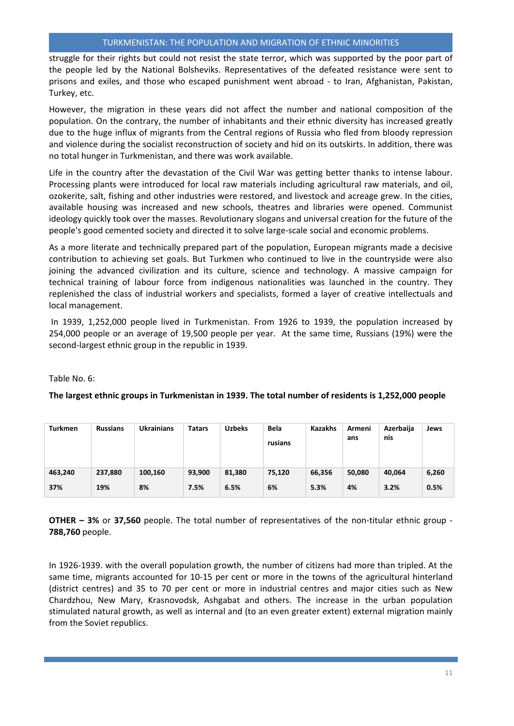struggle for their rights but could not resist the state terror, which was supported by the poor part of the people led by the National Bolsheviks. Representatives of the defeated resistance were sent to prisons and exiles, and those who escaped punishment went abroad - to Iran, Afghanistan, Pakistan, Turkey, etc.

However, the migration in these years did not affect the number and national composition of the population. On the contrary, the number of inhabitants and their ethnic diversity has increased greatly due to the huge influx of migrants from the Central regions of Russia who fled from bloody repression and violence during the socialist reconstruction of society and hid on its outskirts. In addition, there was no total hunger in Turkmenistan, and there was work available.

Life in the country after the devastation of the Civil War was getting better thanks to intense labour. Processing plants were introduced for local raw materials including agricultural raw materials, and oil, ozokerite, salt, fishing and other industries were restored, and livestock and acreage grew. In the cities, available housing was increased and new schools, theatres and libraries were opened. Communist ideology quickly took over the masses. Revolutionary slogans and universal creation for the future of the people's good cemented society and directed it to solve large-scale social and economic problems.

As a more literate and technically prepared part of the population, European migrants made a decisive contribution to achieving set goals. But Turkmen who continued to live in the countryside were also joining the advanced civilization and its culture, science and technology. A massive campaign for technical training of labour force from indigenous nationalities was launched in the country. They replenished the class of industrial workers and specialists, formed a layer of creative intellectuals and local management.

In 1939, 1,252,000 people lived in Turkmenistan. From 1926 to 1939, the population increased by 254,000 people or an average of 19,500 people per year. At the same time, Russians (19%) were the second-largest ethnic group in the republic in 1939.

Table No. 6:

#### **The largest ethnic groups in Turkmenistan in 1939. The total number of residents is 1,252,000 people**

| <b>Turkmen</b> | <b>Russians</b> | <b>Ukrainians</b> | <b>Tatars</b> | <b>Uzbeks</b> | <b>Bela</b><br>rusians | <b>Kazakhs</b> | Armeni<br>ans | Azerbaija<br>nis | Jews  |
|----------------|-----------------|-------------------|---------------|---------------|------------------------|----------------|---------------|------------------|-------|
| 463,240        | 237,880         | 100,160           | 93,900        | 81,380        | 75,120                 | 66,356         | 50,080        | 40,064           | 6,260 |
| 37%            | 19%             | 8%                | 7.5%          | 6.5%          | 6%                     | 5.3%           | 4%            | 3.2%             | 0.5%  |

**OTHER – 3%** or **37,560** people. The total number of representatives of the non-titular ethnic group - **788,760** people.

In 1926-1939. with the overall population growth, the number of citizens had more than tripled. At the same time, migrants accounted for 10-15 per cent or more in the towns of the agricultural hinterland (district centres) and 35 to 70 per cent or more in industrial centres and major cities such as New Chardzhou, New Mary, Krasnovodsk, Ashgabat and others. The increase in the urban population stimulated natural growth, as well as internal and (to an even greater extent) external migration mainly from the Soviet republics.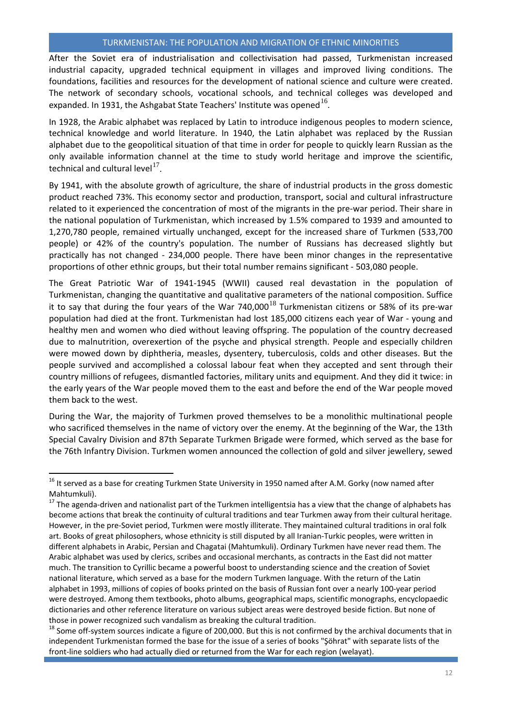After the Soviet era of industrialisation and collectivisation had passed, Turkmenistan increased industrial capacity, upgraded technical equipment in villages and improved living conditions. The foundations, facilities and resources for the development of national science and culture were created. The network of secondary schools, vocational schools, and technical colleges was developed and expanded. In 1931, the Ashgabat State Teachers' Institute was opened  $16$ .

In 1928, the Arabic alphabet was replaced by Latin to introduce indigenous peoples to modern science, technical knowledge and world literature. In 1940, the Latin alphabet was replaced by the Russian alphabet due to the geopolitical situation of that time in order for people to quickly learn Russian as the only available information channel at the time to study world heritage and improve the scientific, technical and cultural level $17$ .

By 1941, with the absolute growth of agriculture, the share of industrial products in the gross domestic product reached 73%. This economy sector and production, transport, social and cultural infrastructure related to it experienced the concentration of most of the migrants in the pre-war period. Their share in the national population of Turkmenistan, which increased by 1.5% compared to 1939 and amounted to 1,270,780 people, remained virtually unchanged, except for the increased share of Turkmen (533,700 people) or 42% of the country's population. The number of Russians has decreased slightly but practically has not changed - 234,000 people. There have been minor changes in the representative proportions of other ethnic groups, but their total number remains significant - 503,080 people.

The Great Patriotic War of 1941-1945 (WWII) caused real devastation in the population of Turkmenistan, changing the quantitative and qualitative parameters of the national composition. Suffice it to say that during the four years of the War 740,000<sup>[18](#page-12-2)</sup> Turkmenistan citizens or 58% of its pre-war population had died at the front. Turkmenistan had lost 185,000 citizens each year of War - young and healthy men and women who died without leaving offspring. The population of the country decreased due to malnutrition, overexertion of the psyche and physical strength. People and especially children were mowed down by diphtheria, measles, dysentery, tuberculosis, colds and other diseases. But the people survived and accomplished a colossal labour feat when they accepted and sent through their country millions of refugees, dismantled factories, military units and equipment. And they did it twice: in the early years of the War people moved them to the east and before the end of the War people moved them back to the west.

During the War, the majority of Turkmen proved themselves to be a monolithic multinational people who sacrificed themselves in the name of victory over the enemy. At the beginning of the War, the 13th Special Cavalry Division and 87th Separate Turkmen Brigade were formed, which served as the base for the 76th Infantry Division. Turkmen women announced the collection of gold and silver jewellery, sewed

 $\overline{a}$ 

<span id="page-12-2"></span><sup>18</sup> Some off-system sources indicate a figure of 200,000. But this is not confirmed by the archival documents that in independent Turkmenistan formed the base for the issue of a series of books "Şöhrat" with separate lists of the front-line soldiers who had actually died or returned from the War for each region (welayat).

<span id="page-12-0"></span> $16$  It served as a base for creating Turkmen State University in 1950 named after A.M. Gorky (now named after Mahtumkuli).

<span id="page-12-1"></span> $17$  The agenda-driven and nationalist part of the Turkmen intelligentsia has a view that the change of alphabets has become actions that break the continuity of cultural traditions and tear Turkmen away from their cultural heritage. However, in the pre-Soviet period, Turkmen were mostly illiterate. They maintained cultural traditions in oral folk art. Books of great philosophers, whose ethnicity is still disputed by all Iranian-Turkic peoples, were written in different alphabets in Arabic, Persian and Chagatai (Mahtumkuli). Ordinary Turkmen have never read them. The Arabic alphabet was used by clerics, scribes and occasional merchants, as contracts in the East did not matter much. The transition to Cyrillic became a powerful boost to understanding science and the creation of Soviet national literature, which served as a base for the modern Turkmen language. With the return of the Latin alphabet in 1993, millions of copies of books printed on the basis of Russian font over a nearly 100-year period were destroyed. Among them textbooks, photo albums, geographical maps, scientific monographs, encyclopaedic dictionaries and other reference literature on various subject areas were destroyed beside fiction. But none of those in power recognized such vandalism as breaking the cultural tradition.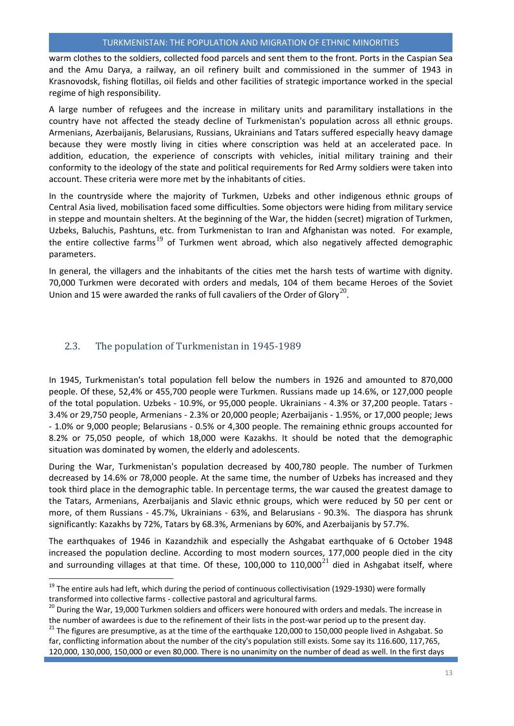warm clothes to the soldiers, collected food parcels and sent them to the front. Ports in the Caspian Sea and the Amu Darya, a railway, an oil refinery built and commissioned in the summer of 1943 in Krasnovodsk, fishing flotillas, oil fields and other facilities of strategic importance worked in the special regime of high responsibility.

A large number of refugees and the increase in military units and paramilitary installations in the country have not affected the steady decline of Turkmenistan's population across all ethnic groups. Armenians, Azerbaijanis, Belarusians, Russians, Ukrainians and Tatars suffered especially heavy damage because they were mostly living in cities where conscription was held at an accelerated pace. In addition, education, the experience of conscripts with vehicles, initial military training and their conformity to the ideology of the state and political requirements for Red Army soldiers were taken into account. These criteria were more met by the inhabitants of cities.

In the countryside where the majority of Turkmen, Uzbeks and other indigenous ethnic groups of Central Asia lived, mobilisation faced some difficulties. Some objectors were hiding from military service in steppe and mountain shelters. At the beginning of the War, the hidden (secret) migration of Turkmen, Uzbeks, Baluchis, Pashtuns, etc. from Turkmenistan to Iran and Afghanistan was noted. For example, the entire collective farms<sup>[19](#page-13-1)</sup> of Turkmen went abroad, which also negatively affected demographic parameters.

In general, the villagers and the inhabitants of the cities met the harsh tests of wartime with dignity. 70,000 Turkmen were decorated with orders and medals, 104 of them became Heroes of the Soviet Union and 15 were awarded the ranks of full cavaliers of the Order of Glory<sup>[20](#page-13-2)</sup>.

## <span id="page-13-0"></span>2.3. The population of Turkmenistan in 1945-1989

 $\overline{\phantom{a}}$ 

In 1945, Turkmenistan's total population fell below the numbers in 1926 and amounted to 870,000 people. Of these, 52,4% or 455,700 people were Turkmen. Russians made up 14.6%, or 127,000 people of the total population. Uzbeks - 10.9%, or 95,000 people. Ukrainians - 4.3% or 37,200 people. Tatars - 3.4% or 29,750 people, Armenians - 2.3% or 20,000 people; Azerbaijanis - 1.95%, or 17,000 people; Jews - 1.0% or 9,000 people; Belarusians - 0.5% or 4,300 people. The remaining ethnic groups accounted for 8.2% or 75,050 people, of which 18,000 were Kazakhs. It should be noted that the demographic situation was dominated by women, the elderly and adolescents.

During the War, Turkmenistan's population decreased by 400,780 people. The number of Turkmen decreased by 14.6% or 78,000 people. At the same time, the number of Uzbeks has increased and they took third place in the demographic table. In percentage terms, the war caused the greatest damage to the Tatars, Armenians, Azerbaijanis and Slavic ethnic groups, which were reduced by 50 per cent or more, of them Russians - 45.7%, Ukrainians - 63%, and Belarusians - 90.3%. The diaspora has shrunk significantly: Kazakhs by 72%, Tatars by 68.3%, Armenians by 60%, and Azerbaijanis by 57.7%.

The earthquakes of 1946 in Kazandzhik and especially the Ashgabat earthquake of 6 October 1948 increased the population decline. According to most modern sources, 177,000 people died in the city and surrounding villages at that time. Of these, 100,000 to  $110,000^{21}$  $110,000^{21}$  $110,000^{21}$  died in Ashgabat itself, where

<span id="page-13-1"></span><sup>&</sup>lt;sup>19</sup> The entire auls had left, which during the period of continuous collectivisation (1929-1930) were formally transformed into collective farms - collective pastoral and agricultural farms.<br><sup>20</sup> During the War, 19,000 Turkmen soldiers and officers were honoured with orders and medals. The increase in

<span id="page-13-2"></span>the number of awardees is due to the refinement of their lists in the post-war period up to the present day.<br><sup>21</sup> The figures are presumptive, as at the time of the earthquake 120,000 to 150,000 people lived in Ashgabat.

<span id="page-13-3"></span>far, conflicting information about the number of the city's population still exists. Some say its 116.600, 117,765, 120,000, 130,000, 150,000 or even 80,000. There is no unanimity on the number of dead as well. In the first days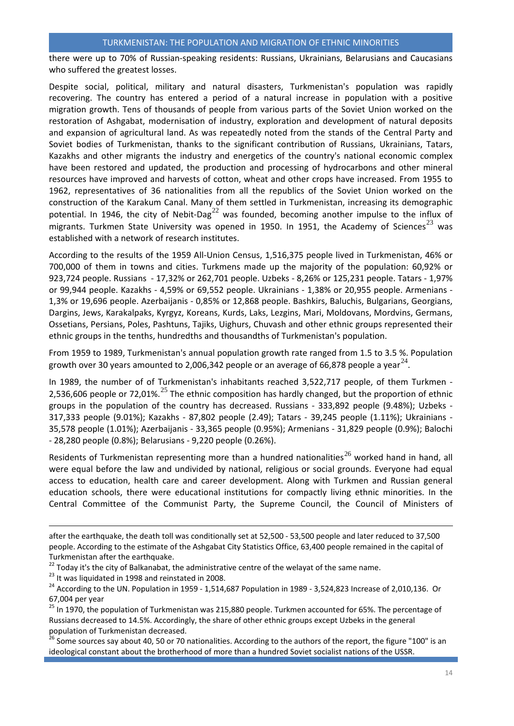there were up to 70% of Russian-speaking residents: Russians, Ukrainians, Belarusians and Caucasians who suffered the greatest losses.

Despite social, political, military and natural disasters, Turkmenistan's population was rapidly recovering. The country has entered a period of a natural increase in population with a positive migration growth. Tens of thousands of people from various parts of the Soviet Union worked on the restoration of Ashgabat, modernisation of industry, exploration and development of natural deposits and expansion of agricultural land. As was repeatedly noted from the stands of the Central Party and Soviet bodies of Turkmenistan, thanks to the significant contribution of Russians, Ukrainians, Tatars, Kazakhs and other migrants the industry and energetics of the country's national economic complex have been restored and updated, the production and processing of hydrocarbons and other mineral resources have improved and harvests of cotton, wheat and other crops have increased. From 1955 to 1962, representatives of 36 nationalities from all the republics of the Soviet Union worked on the construction of the Karakum Canal. Many of them settled in Turkmenistan, increasing its demographic potential. In 1946, the city of Nebit-Dag<sup>[22](#page-14-0)</sup> was founded, becoming another impulse to the influx of migrants. Turkmen State University was opened in 1950. In 1951, the Academy of Sciences $^{23}$  $^{23}$  $^{23}$  was established with a network of research institutes.

According to the results of the 1959 All-Union Census, 1,516,375 people lived in Turkmenistan, 46% or 700,000 of them in towns and cities. Turkmens made up the majority of the population: 60,92% or 923,724 people. Russians - 17,32% or 262,701 people. Uzbeks - 8,26% or 125,231 people. Tatars - 1,97% or 99,944 people. Kazakhs - 4,59% or 69,552 people. Ukrainians - 1,38% or 20,955 people. Armenians - 1,3% or 19,696 people. Azerbaijanis - 0,85% or 12,868 people. Bashkirs, Baluchis, Bulgarians, Georgians, Dargins, Jews, Karakalpaks, Kyrgyz, Koreans, Kurds, Laks, Lezgins, Mari, Moldovans, Mordvins, Germans, Ossetians, Persians, Poles, Pashtuns, Tajiks, Uighurs, Chuvash and other ethnic groups represented their ethnic groups in the tenths, hundredths and thousandths of Turkmenistan's population.

From 1959 to 1989, Turkmenistan's annual population growth rate ranged from 1.5 to 3.5 %. Population growth over 30 years amounted to 2,006,342 people or an average of 66,878 people a year<sup>[24](#page-14-2)</sup>.

In 1989, the number of of Turkmenistan's inhabitants reached 3,522,717 people, of them Turkmen - 2,536,606 people or 72,01%.<sup>[25](#page-14-3)</sup> The ethnic composition has hardly changed, but the proportion of ethnic groups in the population of the country has decreased. Russians - 333,892 people (9.48%); Uzbeks - 317,333 people (9.01%); Kazakhs - 87,802 people (2.49); Tatars - 39,245 people (1.11%); Ukrainians - 35,578 people (1.01%); Azerbaijanis - 33,365 people (0.95%); Armenians - 31,829 people (0.9%); Balochi - 28,280 people (0.8%); Belarusians - 9,220 people (0.26%).

Residents of Turkmenistan representing more than a hundred nationalities<sup>[26](#page-14-4)</sup> worked hand in hand, all were equal before the law and undivided by national, religious or social grounds. Everyone had equal access to education, health care and career development. Along with Turkmen and Russian general education schools, there were educational institutions for compactly living ethnic minorities. In the Central Committee of the Communist Party, the Supreme Council, the Council of Ministers of

 $\overline{\phantom{a}}$ 

after the earthquake, the death toll was conditionally set at 52,500 - 53,500 people and later reduced to 37,500 people. According to the estimate of the Ashgabat City Statistics Office, 63,400 people remained in the capital of Turkmenistan after the earthquake.

<span id="page-14-2"></span><span id="page-14-1"></span>

<span id="page-14-0"></span><sup>&</sup>lt;sup>22</sup> Today it's the city of Balkanabat, the administrative centre of the welayat of the same name.<br><sup>23</sup> It was liquidated in 1998 and reinstated in 2008.<br><sup>24</sup> According to the UN. Population in 1959 - 1,514,687 Population 67,004 per year<br><sup>25</sup> In 1970, the population of Turkmenistan was 215,880 people. Turkmen accounted for 65%. The percentage of

<span id="page-14-3"></span>Russians decreased to 14.5%. Accordingly, the share of other ethnic groups except Uzbeks in the general population of Turkmenistan decreased.<br><sup>26</sup> Some sources say about 40, 50 or 70 nationalities. According to the authors of the report, the figure "100" is an

<span id="page-14-4"></span>ideological constant about the brotherhood of more than a hundred Soviet socialist nations of the USSR.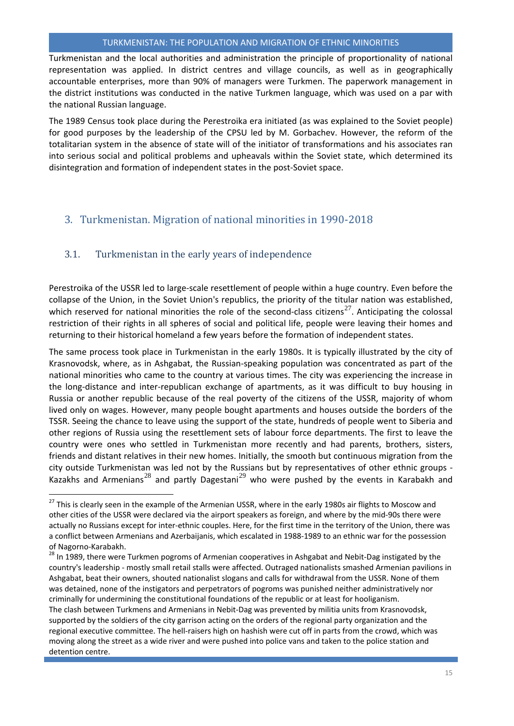Turkmenistan and the local authorities and administration the principle of proportionality of national representation was applied. In district centres and village councils, as well as in geographically accountable enterprises, more than 90% of managers were Turkmen. The paperwork management in the district institutions was conducted in the native Turkmen language, which was used on a par with the national Russian language.

The 1989 Census took place during the Perestroika era initiated (as was explained to the Soviet people) for good purposes by the leadership of the CPSU led by M. Gorbachev. However, the reform of the totalitarian system in the absence of state will of the initiator of transformations and his associates ran into serious social and political problems and upheavals within the Soviet state, which determined its disintegration and formation of independent states in the post-Soviet space.

## <span id="page-15-0"></span>3. Turkmenistan. Migration of national minorities in 1990-2018

## <span id="page-15-1"></span>3.1. Turkmenistan in the early years of independence

l

Perestroika of the USSR led to large-scale resettlement of people within a huge country. Even before the collapse of the Union, in the Soviet Union's republics, the priority of the titular nation was established, which reserved for national minorities the role of the second-class citizens<sup>[27](#page-15-2)</sup>. Anticipating the colossal restriction of their rights in all spheres of social and political life, people were leaving their homes and returning to their historical homeland a few years before the formation of independent states.

The same process took place in Turkmenistan in the early 1980s. It is typically illustrated by the city of Krasnovodsk, where, as in Ashgabat, the Russian-speaking population was concentrated as part of the national minorities who came to the country at various times. The city was experiencing the increase in the long-distance and inter-republican exchange of apartments, as it was difficult to buy housing in Russia or another republic because of the real poverty of the citizens of the USSR, majority of whom lived only on wages. However, many people bought apartments and houses outside the borders of the TSSR. Seeing the chance to leave using the support of the state, hundreds of people went to Siberia and other regions of Russia using the resettlement sets of labour force departments. The first to leave the country were ones who settled in Turkmenistan more recently and had parents, brothers, sisters, friends and distant relatives in their new homes. Initially, the smooth but continuous migration from the city outside Turkmenistan was led not by the Russians but by representatives of other ethnic groups - Kazakhs and Armenians<sup>[28](#page-15-3)</sup> and partly Dagestani<sup>[29](#page-15-4)</sup> who were pushed by the events in Karabakh and

<span id="page-15-2"></span> $^{27}$  This is clearly seen in the example of the Armenian USSR, where in the early 1980s air flights to Moscow and other cities of the USSR were declared via the airport speakers as foreign, and where by the mid-90s there were actually no Russians except for inter-ethnic couples. Here, for the first time in the territory of the Union, there was a conflict between Armenians and Azerbaijanis, which escalated in 1988-1989 to an ethnic war for the possession

<span id="page-15-4"></span><span id="page-15-3"></span>of Nagorno-Karabakh.<br><sup>28</sup> In 1989, there were Turkmen pogroms of Armenian cooperatives in Ashgabat and Nebit-Dag instigated by the country's leadership - mostly small retail stalls were affected. Outraged nationalists smashed Armenian pavilions in Ashgabat, beat their owners, shouted nationalist slogans and calls for withdrawal from the USSR. None of them was detained, none of the instigators and perpetrators of pogroms was punished neither administratively nor criminally for undermining the constitutional foundations of the republic or at least for hooliganism.

The clash between Turkmens and Armenians in Nebit-Dag was prevented by militia units from Krasnovodsk, supported by the soldiers of the city garrison acting on the orders of the regional party organization and the regional executive committee. The hell-raisers high on hashish were cut off in parts from the crowd, which was moving along the street as a wide river and were pushed into police vans and taken to the police station and detention centre.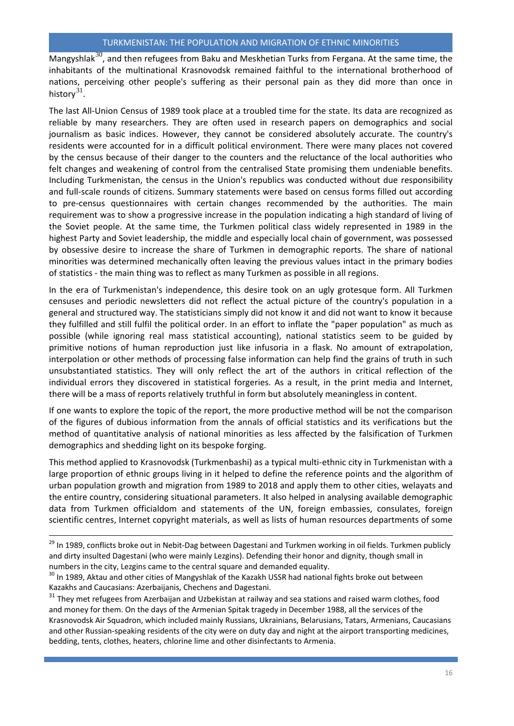Mangyshlak<sup>[30](#page-16-0)</sup>, and then refugees from Baku and Meskhetian Turks from Fergana. At the same time, the inhabitants of the multinational Krasnovodsk remained faithful to the international brotherhood of nations, perceiving other people's suffering as their personal pain as they did more than once in history $31$ .

The last All-Union Census of 1989 took place at a troubled time for the state. Its data are recognized as reliable by many researchers. They are often used in research papers on demographics and social journalism as basic indices. However, they cannot be considered absolutely accurate. The country's residents were accounted for in a difficult political environment. There were many places not covered by the census because of their danger to the counters and the reluctance of the local authorities who felt changes and weakening of control from the centralised State promising them undeniable benefits. Including Turkmenistan, the census in the Union's republics was conducted without due responsibility and full-scale rounds of citizens. Summary statements were based on census forms filled out according to pre-census questionnaires with certain changes recommended by the authorities. The main requirement was to show a progressive increase in the population indicating a high standard of living of the Soviet people. At the same time, the Turkmen political class widely represented in 1989 in the highest Party and Soviet leadership, the middle and especially local chain of government, was possessed by obsessive desire to increase the share of Turkmen in demographic reports. The share of national minorities was determined mechanically often leaving the previous values intact in the primary bodies of statistics - the main thing was to reflect as many Turkmen as possible in all regions.

In the era of Turkmenistan's independence, this desire took on an ugly grotesque form. All Turkmen censuses and periodic newsletters did not reflect the actual picture of the country's population in a general and structured way. The statisticians simply did not know it and did not want to know it because they fulfilled and still fulfil the political order. In an effort to inflate the "paper population" as much as possible (while ignoring real mass statistical accounting), national statistics seem to be guided by primitive notions of human reproduction just like infusoria in a flask. No amount of extrapolation, interpolation or other methods of processing false information can help find the grains of truth in such unsubstantiated statistics. They will only reflect the art of the authors in critical reflection of the individual errors they discovered in statistical forgeries. As a result, in the print media and Internet, there will be a mass of reports relatively truthful in form but absolutely meaningless in content.

If one wants to explore the topic of the report, the more productive method will be not the comparison of the figures of dubious information from the annals of official statistics and its verifications but the method of quantitative analysis of national minorities as less affected by the falsification of Turkmen demographics and shedding light on its bespoke forging.

This method applied to Krasnovodsk (Turkmenbashi) as a typical multi-ethnic city in Turkmenistan with a large proportion of ethnic groups living in it helped to define the reference points and the algorithm of urban population growth and migration from 1989 to 2018 and apply them to other cities, welayats and the entire country, considering situational parameters. It also helped in analysing available demographic data from Turkmen officialdom and statements of the UN, foreign embassies, consulates, foreign scientific centres, Internet copyright materials, as well as lists of human resources departments of some

<sup>29</sup> In 1989, conflicts broke out in Nebit-Dag between Dagestani and Turkmen working in oil fields. Turkmen publicly and dirty insulted Dagestani (who were mainly Lezgins). Defending their honor and dignity, though small in numbers in the city, Lezgins came to the central square and demanded equality.

 $\overline{a}$ 

<span id="page-16-1"></span><sup>31</sup> They met refugees from Azerbaijan and Uzbekistan at railway and sea stations and raised warm clothes, food and money for them. On the days of the Armenian Spitak tragedy in December 1988, all the services of the Krasnovodsk Air Squadron, which included mainly Russians, Ukrainians, Belarusians, Tatars, Armenians, Caucasians and other Russian-speaking residents of the city were on duty day and night at the airport transporting medicines, bedding, tents, clothes, heaters, chlorine lime and other disinfectants to Armenia.

<span id="page-16-0"></span><sup>&</sup>lt;sup>30</sup> In 1989, Aktau and other cities of Mangyshlak of the Kazakh USSR had national fights broke out between Kazakhs and Caucasians: Azerbaijanis, Chechens and Dagestani.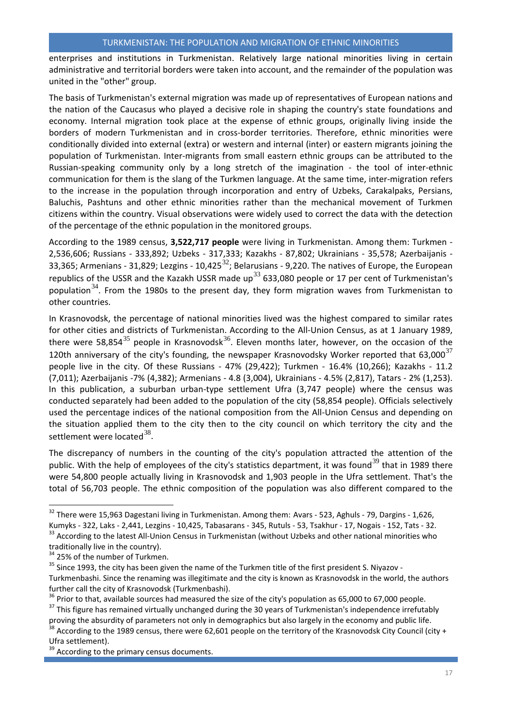enterprises and institutions in Turkmenistan. Relatively large national minorities living in certain administrative and territorial borders were taken into account, and the remainder of the population was united in the "other" group.

The basis of Turkmenistan's external migration was made up of representatives of European nations and the nation of the Caucasus who played a decisive role in shaping the country's state foundations and economy. Internal migration took place at the expense of ethnic groups, originally living inside the borders of modern Turkmenistan and in cross-border territories. Therefore, ethnic minorities were conditionally divided into external (extra) or western and internal (inter) or eastern migrants joining the population of Turkmenistan. Inter-migrants from small eastern ethnic groups can be attributed to the Russian-speaking community only by a long stretch of the imagination - the tool of inter-ethnic communication for them is the slang of the Turkmen language. At the same time, inter-migration refers to the increase in the population through incorporation and entry of Uzbeks, Carakalpaks, Persians, Baluchis, Pashtuns and other ethnic minorities rather than the mechanical movement of Turkmen citizens within the country. Visual observations were widely used to correct the data with the detection of the percentage of the ethnic population in the monitored groups.

According to the 1989 census, **3,522,717 people** were living in Turkmenistan. Among them: Turkmen - 2,536,606; Russians - 333,892; Uzbeks - 317,333; Kazakhs - 87,802; Ukrainians - 35,578; Azerbaijanis - 33,365; Armenians - 31,829; Lezgins - 10,425 $^{32}$  $^{32}$  $^{32}$ ; Belarusians - 9,220. The natives of Europe, the European republics of the USSR and the Kazakh USSR made up<sup>[33](#page-17-1)</sup> 633,080 people or 17 per cent of Turkmenistan's population<sup>[34](#page-17-2)</sup>. From the 1980s to the present day, they form migration waves from Turkmenistan to other countries.

In Krasnovodsk, the percentage of national minorities lived was the highest compared to similar rates for other cities and districts of Turkmenistan. According to the All-Union Census, as at 1 January 1989, there were 58,854 $^{35}$  $^{35}$  $^{35}$  people in Krasnovodsk $^{36}$  $^{36}$  $^{36}$ . Eleven months later, however, on the occasion of the 120th anniversary of the city's founding, the newspaper Krasnovodsky Worker reported that 63.000 $^{37}$  $^{37}$  $^{37}$ people live in the city. Of these Russians - 47% (29,422); Turkmen - 16.4% (10,266); Kazakhs - 11.2 (7,011); Azerbaijanis -7% (4,382); Armenians - 4.8 (3,004), Ukrainians - 4.5% (2,817), Tatars - 2% (1,253). In this publication, a suburban urban-type settlement Ufra (3,747 people) where the census was conducted separately had been added to the population of the city (58,854 people). Officials selectively used the percentage indices of the national composition from the All-Union Census and depending on the situation applied them to the city then to the city council on which territory the city and the settlement were located  $38$ .

The discrepancy of numbers in the counting of the city's population attracted the attention of the public. With the help of employees of the city's statistics department, it was found<sup>[39](#page-17-7)</sup> that in 1989 there were 54,800 people actually living in Krasnovodsk and 1,903 people in the Ufra settlement. That's the total of 56,703 people. The ethnic composition of the population was also different compared to the

 $\overline{\phantom{a}}$ 

<span id="page-17-0"></span> $32$  There were 15,963 Dagestani living in Turkmenistan. Among them: Avars - 523, Aghuls - 79, Dargins - 1,626,

<span id="page-17-1"></span>Kumyks - 322, Laks - 2,441, Lezgins - 10,425, Tabasarans - 345, Rutuls - 53, Tsakhur - 17, Nogais - 152, Tats - 32.<br><sup>33</sup> According to the latest All-Union Census in Turkmenistan (without Uzbeks and other national minoritie traditionally live in the country).<br><sup>34</sup> 25% of the number of Turkmen.

<span id="page-17-3"></span><span id="page-17-2"></span> $35$  Since 1993, the city has been given the name of the Turkmen title of the first president S. Niyazov -

Turkmenbashi. Since the renaming was illegitimate and the city is known as Krasnovodsk in the world, the authors

<span id="page-17-4"></span>further call the city of Krasnovodsk (Turkmenbashi).<br><sup>36</sup> Prior to that, available sources had measured the size of the city's population as 65,000 to 67,000 people.<br><sup>37</sup> This figure has remained virtually unchanged during

<span id="page-17-5"></span>proving the absurdity of parameters not only in demographics but also largely in the economy and public life.

<span id="page-17-6"></span> $\overline{3}$  According to the 1989 census, there were 62,601 people on the territory of the Krasnovodsk City Council (city + Ufra settlement).

<span id="page-17-7"></span><sup>&</sup>lt;sup>39</sup> According to the primary census documents.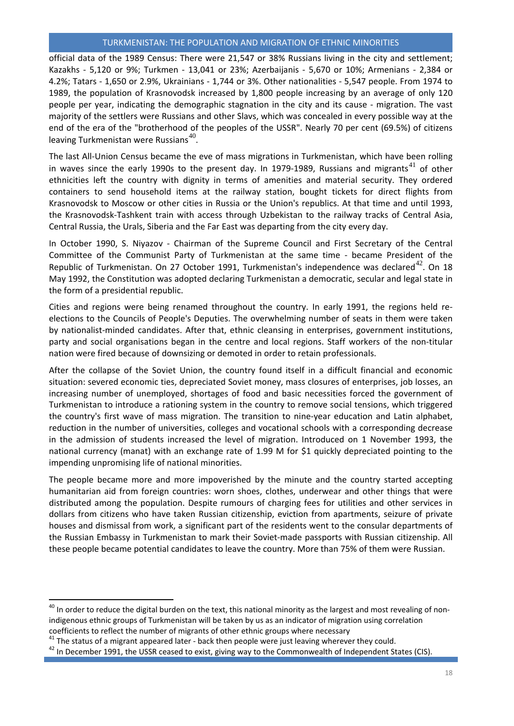official data of the 1989 Census: There were 21,547 or 38% Russians living in the city and settlement; Kazakhs - 5,120 or 9%; Turkmen - 13,041 or 23%; Azerbaijanis - 5,670 or 10%; Armenians - 2,384 or 4.2%; Tatars - 1,650 or 2.9%, Ukrainians - 1,744 or 3%. Other nationalities - 5,547 people. From 1974 to 1989, the population of Krasnovodsk increased by 1,800 people increasing by an average of only 120 people per year, indicating the demographic stagnation in the city and its cause - migration. The vast majority of the settlers were Russians and other Slavs, which was concealed in every possible way at the end of the era of the "brotherhood of the peoples of the USSR". Nearly 70 per cent (69.5%) of citizens leaving Turkmenistan were Russians<sup>[40](#page-18-0)</sup>.

The last All-Union Census became the eve of mass migrations in Turkmenistan, which have been rolling in waves since the early 1990s to the present day. In 1979-1989, Russians and migrants<sup>[41](#page-18-1)</sup> of other ethnicities left the country with dignity in terms of amenities and material security. They ordered containers to send household items at the railway station, bought tickets for direct flights from Krasnovodsk to Moscow or other cities in Russia or the Union's republics. At that time and until 1993, the Krasnovodsk-Tashkent train with access through Uzbekistan to the railway tracks of Central Asia, Central Russia, the Urals, Siberia and the Far East was departing from the city every day.

In October 1990, S. Niyazov - Chairman of the Supreme Council and First Secretary of the Central Committee of the Communist Party of Turkmenistan at the same time - became President of the Republic of Turkmenistan. On 27 October 1991, Turkmenistan's independence was declared<sup>[42](#page-18-2)</sup>. On 18 May 1992, the Constitution was adopted declaring Turkmenistan a democratic, secular and legal state in the form of a presidential republic.

Cities and regions were being renamed throughout the country. In early 1991, the regions held reelections to the Councils of People's Deputies. The overwhelming number of seats in them were taken by nationalist-minded candidates. After that, ethnic cleansing in enterprises, government institutions, party and social organisations began in the centre and local regions. Staff workers of the non-titular nation were fired because of downsizing or demoted in order to retain professionals.

After the collapse of the Soviet Union, the country found itself in a difficult financial and economic situation: severed economic ties, depreciated Soviet money, mass closures of enterprises, job losses, an increasing number of unemployed, shortages of food and basic necessities forced the government of Turkmenistan to introduce a rationing system in the country to remove social tensions, which triggered the country's first wave of mass migration. The transition to nine-year education and Latin alphabet, reduction in the number of universities, colleges and vocational schools with a corresponding decrease in the admission of students increased the level of migration. Introduced on 1 November 1993, the national currency (manat) with an exchange rate of 1.99 M for \$1 quickly depreciated pointing to the impending unpromising life of national minorities.

The people became more and more impoverished by the minute and the country started accepting humanitarian aid from foreign countries: worn shoes, clothes, underwear and other things that were distributed among the population. Despite rumours of charging fees for utilities and other services in dollars from citizens who have taken Russian citizenship, eviction from apartments, seizure of private houses and dismissal from work, a significant part of the residents went to the consular departments of the Russian Embassy in Turkmenistan to mark their Soviet-made passports with Russian citizenship. All these people became potential candidates to leave the country. More than 75% of them were Russian.

 $\overline{\phantom{a}}$ 

<span id="page-18-0"></span><sup>&</sup>lt;sup>40</sup> In order to reduce the digital burden on the text, this national minority as the largest and most revealing of nonindigenous ethnic groups of Turkmenistan will be taken by us as an indicator of migration using correlation coefficients to reflect the number of migrants of other ethnic groups where necessary<br><sup>41</sup> The status of a migrant appeared later - back then people were just leaving wherever they could.

<span id="page-18-1"></span>

<span id="page-18-2"></span> $42$  In December 1991, the USSR ceased to exist, giving way to the Commonwealth of Independent States (CIS).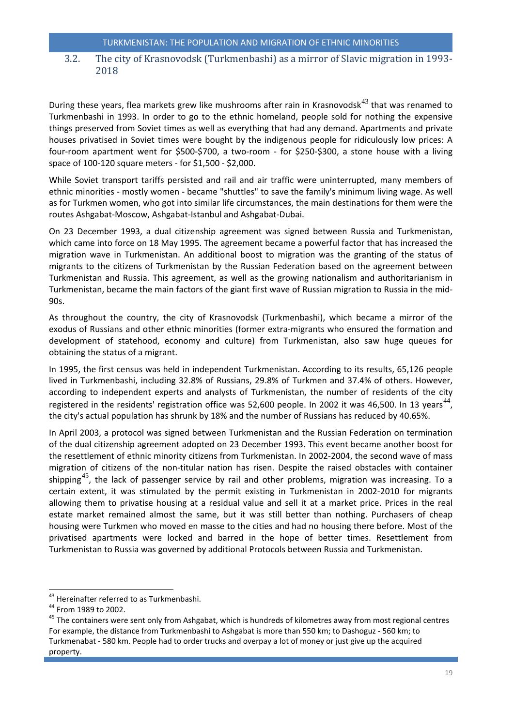## <span id="page-19-0"></span>3.2. The city of Krasnovodsk (Turkmenbashi) as a mirror of Slavic migration in 1993- 2018

During these years, flea markets grew like mushrooms after rain in Krasnovodsk $^{43}$  $^{43}$  $^{43}$  that was renamed to Turkmenbashi in 1993. In order to go to the ethnic homeland, people sold for nothing the expensive things preserved from Soviet times as well as everything that had any demand. Apartments and private houses privatised in Soviet times were bought by the indigenous people for ridiculously low prices: A four-room apartment went for \$500-\$700, a two-room - for \$250-\$300, a stone house with a living space of 100-120 square meters - for \$1,500 - \$2,000.

While Soviet transport tariffs persisted and rail and air traffic were uninterrupted, many members of ethnic minorities - mostly women - became "shuttles" to save the family's minimum living wage. As well as for Turkmen women, who got into similar life circumstances, the main destinations for them were the routes Ashgabat-Moscow, Ashgabat-Istanbul and Ashgabat-Dubai.

On 23 December 1993, a dual citizenship agreement was signed between Russia and Turkmenistan, which came into force on 18 May 1995. The agreement became a powerful factor that has increased the migration wave in Turkmenistan. An additional boost to migration was the granting of the status of migrants to the citizens of Turkmenistan by the Russian Federation based on the agreement between Turkmenistan and Russia. This agreement, as well as the growing nationalism and authoritarianism in Turkmenistan, became the main factors of the giant first wave of Russian migration to Russia in the mid-90s.

As throughout the country, the city of Krasnovodsk (Turkmenbashi), which became a mirror of the exodus of Russians and other ethnic minorities (former extra-migrants who ensured the formation and development of statehood, economy and culture) from Turkmenistan, also saw huge queues for obtaining the status of a migrant.

In 1995, the first census was held in independent Turkmenistan. According to its results, 65,126 people lived in Turkmenbashi, including 32.8% of Russians, 29.8% of Turkmen and 37.4% of others. However, according to independent experts and analysts of Turkmenistan, the number of residents of the city registered in the residents' registration office was 52,600 people. In 2002 it was 46,500. In 13 years<sup>[44](#page-19-2)</sup>, the city's actual population has shrunk by 18% and the number of Russians has reduced by 40.65%.

In April 2003, a protocol was signed between Turkmenistan and the Russian Federation on termination of the dual citizenship agreement adopted on 23 December 1993. This event became another boost for the resettlement of ethnic minority citizens from Turkmenistan. In 2002-2004, the second wave of mass migration of citizens of the non-titular nation has risen. Despite the raised obstacles with container shipping<sup>[45](#page-19-3)</sup>, the lack of passenger service by rail and other problems, migration was increasing. To a certain extent, it was stimulated by the permit existing in Turkmenistan in 2002-2010 for migrants allowing them to privatise housing at a residual value and sell it at a market price. Prices in the real estate market remained almost the same, but it was still better than nothing. Purchasers of cheap housing were Turkmen who moved en masse to the cities and had no housing there before. Most of the privatised apartments were locked and barred in the hope of better times. Resettlement from Turkmenistan to Russia was governed by additional Protocols between Russia and Turkmenistan.

l

<span id="page-19-3"></span><span id="page-19-2"></span>

<span id="page-19-1"></span><sup>&</sup>lt;sup>43</sup> Hereinafter referred to as Turkmenbashi.<br><sup>44</sup> From 1989 to 2002.<br><sup>45</sup> The containers were sent only from Ashgabat, which is hundreds of kilometres away from most regional centres For example, the distance from Turkmenbashi to Ashgabat is more than 550 km; to Dashoguz - 560 km; to Turkmenabat - 580 km. People had to order trucks and overpay a lot of money or just give up the acquired property.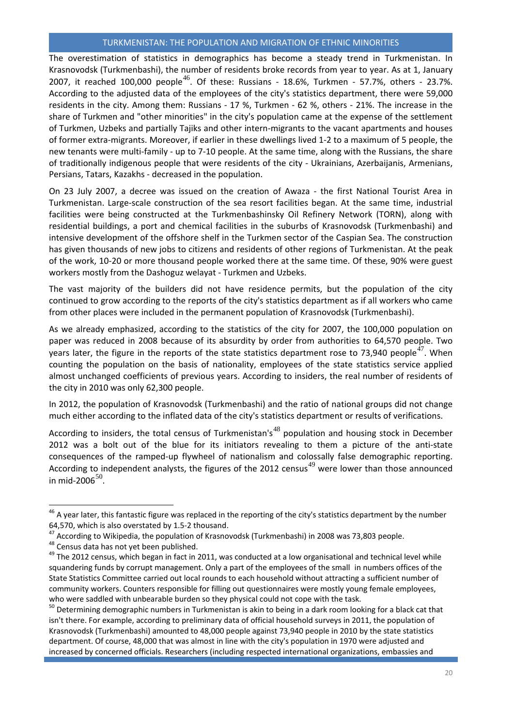The overestimation of statistics in demographics has become a steady trend in Turkmenistan. In Krasnovodsk (Turkmenbashi), the number of residents broke records from year to year. As at 1, January 2007, it reached 100,000 people<sup>[46](#page-20-0)</sup>. Of these: Russians - 18.6%, Turkmen - 57.7%, others - 23.7%. According to the adjusted data of the employees of the city's statistics department, there were 59,000 residents in the city. Among them: Russians - 17 %, Turkmen - 62 %, others - 21%. The increase in the share of Turkmen and "other minorities" in the city's population came at the expense of the settlement of Turkmen, Uzbeks and partially Tajiks and other intern-migrants to the vacant apartments and houses of former extra-migrants. Moreover, if earlier in these dwellings lived 1-2 to a maximum of 5 people, the new tenants were multi-family - up to 7-10 people. At the same time, along with the Russians, the share of traditionally indigenous people that were residents of the city - Ukrainians, Azerbaijanis, Armenians, Persians, Tatars, Kazakhs - decreased in the population.

On 23 July 2007, a decree was issued on the creation of Awaza - the first National Tourist Area in Turkmenistan. Large-scale construction of the sea resort facilities began. At the same time, industrial facilities were being constructed at the Turkmenbashinsky Oil Refinery Network (TORN), along with residential buildings, a port and chemical facilities in the suburbs of Krasnovodsk (Turkmenbashi) and intensive development of the offshore shelf in the Turkmen sector of the Caspian Sea. The construction has given thousands of new jobs to citizens and residents of other regions of Turkmenistan. At the peak of the work, 10-20 or more thousand people worked there at the same time. Of these, 90% were guest workers mostly from the Dashoguz welayat - Turkmen and Uzbeks.

The vast majority of the builders did not have residence permits, but the population of the city continued to grow according to the reports of the city's statistics department as if all workers who came from other places were included in the permanent population of Krasnovodsk (Turkmenbashi).

As we already emphasized, according to the statistics of the city for 2007, the 100,000 population on paper was reduced in 2008 because of its absurdity by order from authorities to 64,570 people. Two years later, the figure in the reports of the state statistics department rose to 73,940 people<sup>[47](#page-20-1)</sup>. When counting the population on the basis of nationality, employees of the state statistics service applied almost unchanged coefficients of previous years. According to insiders, the real number of residents of the city in 2010 was only 62,300 people.

In 2012, the population of Krasnovodsk (Turkmenbashi) and the ratio of national groups did not change much either according to the inflated data of the city's statistics department or results of verifications.

According to insiders, the total census of Turkmenistan's<sup>[48](#page-20-2)</sup> population and housing stock in December 2012 was a bolt out of the blue for its initiators revealing to them a picture of the anti-state consequences of the ramped-up flywheel of nationalism and colossally false demographic reporting. According to independent analysts, the figures of the 2012 census<sup>[49](#page-20-3)</sup> were lower than those announced in mid-2006 $50$ .

 $\overline{\phantom{a}}$ 

<span id="page-20-0"></span> $^{46}$  A year later, this fantastic figure was replaced in the reporting of the city's statistics department by the number 64,570, which is also overstated by 1.5-2 thousand.<br><sup>47</sup> According to Wikipedia, the population of Krasnovodsk (Turkmenbashi) in 2008 was 73,803 people.<br><sup>48</sup> Census data has not yet been published.<br><sup>49</sup> The 2012 census, w

<span id="page-20-1"></span>

<span id="page-20-2"></span>

<span id="page-20-3"></span>squandering funds by corrupt management. Only a part of the employees of the small in numbers offices of the State Statistics Committee carried out local rounds to each household without attracting a sufficient number of community workers. Counters responsible for filling out questionnaires were mostly young female employees, who were saddled with unbearable burden so they physical could not cope with the task.

<span id="page-20-4"></span><sup>&</sup>lt;sup>50</sup> Determining demographic numbers in Turkmenistan is akin to being in a dark room looking for a black cat that isn't there. For example, according to preliminary data of official household surveys in 2011, the population of Krasnovodsk (Turkmenbashi) amounted to 48,000 people against 73,940 people in 2010 by the state statistics department. Of course, 48,000 that was almost in line with the city's population in 1970 were adjusted and increased by concerned officials. Researchers (including respected international organizations, embassies and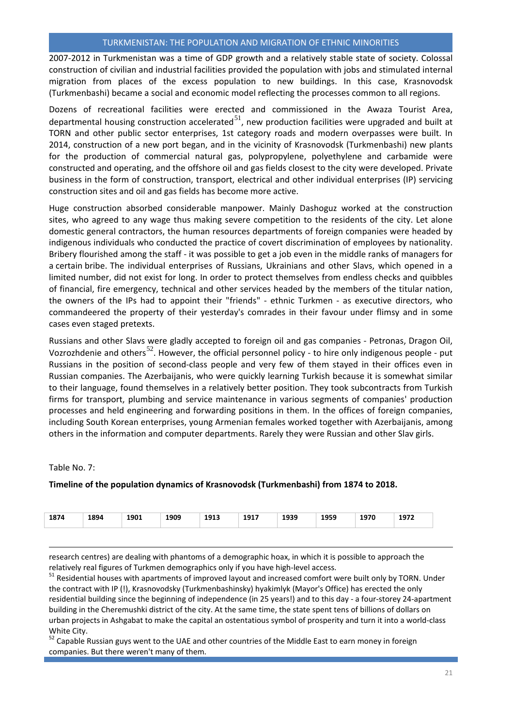2007-2012 in Turkmenistan was a time of GDP growth and a relatively stable state of society. Colossal construction of civilian and industrial facilities provided the population with jobs and stimulated internal migration from places of the excess population to new buildings. In this case, Krasnovodsk (Turkmenbashi) became a social and economic model reflecting the processes common to all regions.

Dozens of recreational facilities were erected and commissioned in the Awaza Tourist Area, departmental housing construction accelerated $^{51}$  $^{51}$  $^{51}$ , new production facilities were upgraded and built at TORN and other public sector enterprises, 1st category roads and modern overpasses were built. In 2014, construction of a new port began, and in the vicinity of Krasnovodsk (Turkmenbashi) new plants for the production of commercial natural gas, polypropylene, polyethylene and carbamide were constructed and operating, and the offshore oil and gas fields closest to the city were developed. Private business in the form of construction, transport, electrical and other individual enterprises (IP) servicing construction sites and oil and gas fields has become more active.

Huge construction absorbed considerable manpower. Mainly Dashoguz worked at the construction sites, who agreed to any wage thus making severe competition to the residents of the city. Let alone domestic general contractors, the human resources departments of foreign companies were headed by indigenous individuals who conducted the practice of covert discrimination of employees by nationality. Bribery flourished among the staff - it was possible to get a job even in the middle ranks of managers for a certain bribe. The individual enterprises of Russians, Ukrainians and other Slavs, which opened in a limited number, did not exist for long. In order to protect themselves from endless checks and quibbles of financial, fire emergency, technical and other services headed by the members of the titular nation, the owners of the IPs had to appoint their "friends" - ethnic Turkmen - as executive directors, who commandeered the property of their yesterday's comrades in their favour under flimsy and in some cases even staged pretexts.

Russians and other Slavs were gladly accepted to foreign oil and gas companies - Petronas, Dragon Oil, Vozrozhdenie and others<sup>[52](#page-21-1)</sup>. However, the official personnel policy - to hire only indigenous people - put Russians in the position of second-class people and very few of them stayed in their offices even in Russian companies. The Azerbaijanis, who were quickly learning Turkish because it is somewhat similar to their language, found themselves in a relatively better position. They took subcontracts from Turkish firms for transport, plumbing and service maintenance in various segments of companies' production processes and held engineering and forwarding positions in them. In the offices of foreign companies, including South Korean enterprises, young Armenian females worked together with Azerbaijanis, among others in the information and computer departments. Rarely they were Russian and other Slav girls.

Table No. 7:

 $\overline{a}$ 

#### **Timeline of the population dynamics of Krasnovodsk (Turkmenbashi) from 1874 to 2018.**

|  | 1874 | 1894 | 1901<br>$- - -$ | 1909 | 1913 | 1917<br>___ | 1939 | 1959 | 1070<br><b>1910</b> | 1077<br><br>_____ |
|--|------|------|-----------------|------|------|-------------|------|------|---------------------|-------------------|
|--|------|------|-----------------|------|------|-------------|------|------|---------------------|-------------------|

research centres) are dealing with phantoms of a demographic hoax, in which it is possible to approach the

<span id="page-21-0"></span>relatively real figures of Turkmen demographics only if you have high-level access.<br><sup>51</sup> Residential houses with apartments of improved layout and increased comfort were built only by TORN. Under the contract with IP (!), Krasnovodsky (Turkmenbashinsky) hyakimlyk (Mayor's Office) has erected the only residential building since the beginning of independence (in 25 years!) and to this day - a four-storey 24-apartment building in the Cheremushki district of the city. At the same time, the state spent tens of billions of dollars on urban projects in Ashgabat to make the capital an ostentatious symbol of prosperity and turn it into a world-class White City.

<span id="page-21-1"></span><sup>52</sup> Capable Russian guys went to the UAE and other countries of the Middle East to earn money in foreign companies. But there weren't many of them.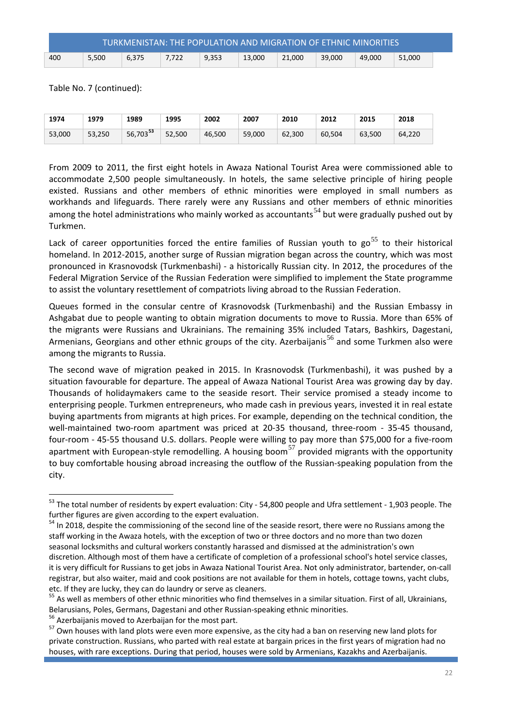|     |       | TURKMENISTAN: THE POPULATION AND MIGRATION OF ETHNIC MINORITIES |       |       |        |        |        |        |        |  |
|-----|-------|-----------------------------------------------------------------|-------|-------|--------|--------|--------|--------|--------|--|
| 400 | 5,500 | 6.375                                                           | 7.722 | 9,353 | 13.000 | 21.000 | 39.000 | 49.000 | 51.000 |  |

Table No. 7 (continued):

| 1974   | 1979   | 1989        | 1995   | 2002   | 2007   | 2010   | 2012   | 2015   | 2018   |
|--------|--------|-------------|--------|--------|--------|--------|--------|--------|--------|
| 53,000 | 53,250 | 56,703 $53$ | 52,500 | 46,500 | 59,000 | 62,300 | 60,504 | 63.500 | 64.220 |

From 2009 to 2011, the first eight hotels in Awaza National Tourist Area were commissioned able to accommodate 2,500 people simultaneously. In hotels, the same selective principle of hiring people existed. Russians and other members of ethnic minorities were employed in small numbers as workhands and lifeguards. There rarely were any Russians and other members of ethnic minorities among the hotel administrations who mainly worked as accountants<sup>[54](#page-22-1)</sup> but were gradually pushed out by Turkmen.

Lack of career opportunities forced the entire families of Russian youth to  $\cos^{55}$  $\cos^{55}$  $\cos^{55}$  to their historical homeland. In 2012-2015, another surge of Russian migration began across the country, which was most pronounced in Krasnovodsk (Turkmenbashi) - a historically Russian city. In 2012, the procedures of the Federal Migration Service of the Russian Federation were simplified to implement the State programme to assist the voluntary resettlement of compatriots living abroad to the Russian Federation.

Queues formed in the consular centre of Krasnovodsk (Turkmenbashi) and the Russian Embassy in Ashgabat due to people wanting to obtain migration documents to move to Russia. More than 65% of the migrants were Russians and Ukrainians. The remaining 35% included Tatars, Bashkirs, Dagestani, Armenians, Georgians and other ethnic groups of the city. Azerbaijanis<sup>[56](#page-22-3)</sup> and some Turkmen also were among the migrants to Russia.

The second wave of migration peaked in 2015. In Krasnovodsk (Turkmenbashi), it was pushed by a situation favourable for departure. The appeal of Awaza National Tourist Area was growing day by day. Thousands of holidaymakers came to the seaside resort. Their service promised a steady income to enterprising people. Turkmen entrepreneurs, who made cash in previous years, invested it in real estate buying apartments from migrants at high prices. For example, depending on the technical condition, the well-maintained two-room apartment was priced at 20-35 thousand, three-room - 35-45 thousand, four-room - 45-55 thousand U.S. dollars. People were willing to pay more than \$75,000 for a five-room apartment with European-style remodelling. A housing boom<sup>[57](#page-22-4)</sup> provided migrants with the opportunity to buy comfortable housing abroad increasing the outflow of the Russian-speaking population from the city.

<span id="page-22-4"></span><span id="page-22-3"></span>

l

<span id="page-22-0"></span><sup>&</sup>lt;sup>53</sup> The total number of residents by expert evaluation: City - 54,800 people and Ufra settlement - 1,903 people. The further figures are given according to the expert evaluation.

<span id="page-22-1"></span><sup>&</sup>lt;sup>54</sup> In 2018, despite the commissioning of the second line of the seaside resort, there were no Russians among the staff working in the Awaza hotels, with the exception of two or three doctors and no more than two dozen seasonal locksmiths and cultural workers constantly harassed and dismissed at the administration's own discretion. Although most of them have a certificate of completion of a professional school's hotel service classes, it is very difficult for Russians to get jobs in Awaza National Tourist Area. Not only administrator, bartender, on-call registrar, but also waiter, maid and cook positions are not available for them in hotels, cottage towns, yacht clubs, etc. If they are lucky, they can do laundry or serve as cleaners.

<span id="page-22-2"></span><sup>&</sup>lt;sup>55</sup> As well as members of other ethnic minorities who find themselves in a similar situation. First of all, Ukrainians,

Belarusians, Poles, Germans, Dagestani and other Russian-speaking ethnic minorities.<br>
<sup>56</sup> Azerbaijanis moved to Azerbaijan for the most part.<br>
<sup>57</sup> Own houses with land plots were even more expensive, as the city had a b private construction. Russians, who parted with real estate at bargain prices in the first years of migration had no houses, with rare exceptions. During that period, houses were sold by Armenians, Kazakhs and Azerbaijanis.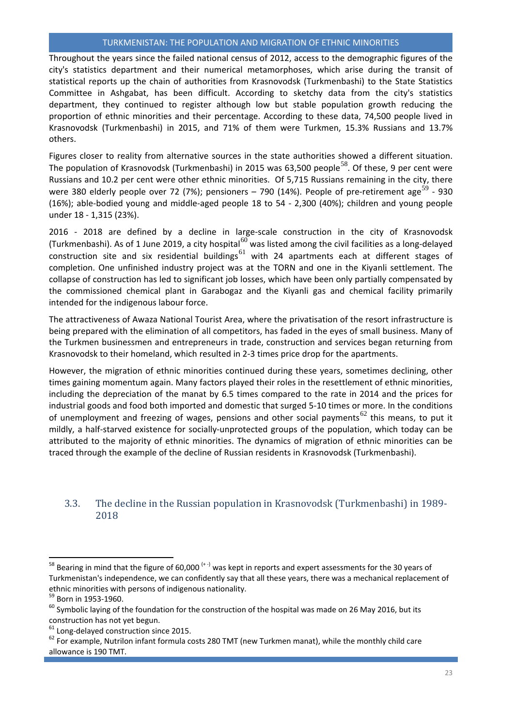Throughout the years since the failed national census of 2012, access to the demographic figures of the city's statistics department and their numerical metamorphoses, which arise during the transit of statistical reports up the chain of authorities from Krasnovodsk (Turkmenbashi) to the State Statistics Committee in Ashgabat, has been difficult. According to sketchy data from the city's statistics department, they continued to register although low but stable population growth reducing the proportion of ethnic minorities and their percentage. According to these data, 74,500 people lived in Krasnovodsk (Turkmenbashi) in 2015, and 71% of them were Turkmen, 15.3% Russians and 13.7% others.

Figures closer to reality from alternative sources in the state authorities showed a different situation. The population of Krasnovodsk (Turkmenbashi) in 2015 was 63,500 people<sup>[58](#page-23-1)</sup>. Of these, 9 per cent were Russians and 10.2 per cent were other ethnic minorities. Of 5,715 Russians remaining in the city, there were 380 elderly people over 72 (7%); pensioners – 790 (14%). People of pre-retirement age<sup>[59](#page-23-2)</sup> - 930 (16%); able-bodied young and middle-aged people 18 to 54 - 2,300 (40%); children and young people under 18 - 1,315 (23%).

2016 - 2018 are defined by a decline in large-scale construction in the city of Krasnovodsk (Turkmenbashi). As of 1 June 2019, a city hospital<sup>[60](#page-23-3)</sup> was listed among the civil facilities as a long-delayed construction site and six residential buildings<sup>[61](#page-23-4)</sup> with 24 apartments each at different stages of completion. One unfinished industry project was at the TORN and one in the Kiyanli settlement. The collapse of construction has led to significant job losses, which have been only partially compensated by the commissioned chemical plant in Garabogaz and the Kiyanli gas and chemical facility primarily intended for the indigenous labour force.

The attractiveness of Awaza National Tourist Area, where the privatisation of the resort infrastructure is being prepared with the elimination of all competitors, has faded in the eyes of small business. Many of the Turkmen businessmen and entrepreneurs in trade, construction and services began returning from Krasnovodsk to their homeland, which resulted in 2-3 times price drop for the apartments.

However, the migration of ethnic minorities continued during these years, sometimes declining, other times gaining momentum again. Many factors played their roles in the resettlement of ethnic minorities, including the depreciation of the manat by 6.5 times compared to the rate in 2014 and the prices for industrial goods and food both imported and domestic that surged 5-10 times or more. In the conditions of unemployment and freezing of wages, pensions and other social payments<sup>[62](#page-23-5)</sup> this means, to put it mildly, a half-starved existence for socially-unprotected groups of the population, which today can be attributed to the majority of ethnic minorities. The dynamics of migration of ethnic minorities can be traced through the example of the decline of Russian residents in Krasnovodsk (Turkmenbashi).

## <span id="page-23-0"></span>3.3. The decline in the Russian population in Krasnovodsk (Turkmenbashi) in 1989- 2018

l

<span id="page-23-1"></span> $^{58}$  Bearing in mind that the figure of 60,000  $^{(+)}$  was kept in reports and expert assessments for the 30 years of Turkmenistan's independence, we can confidently say that all these years, there was a mechanical replacement of ethnic minorities with persons of indigenous nationality.<br>
<sup>59</sup> Born in 1953-1960.

<span id="page-23-3"></span><span id="page-23-2"></span> $60$  Symbolic laying of the foundation for the construction of the hospital was made on 26 May 2016, but its construction has not yet begun.<br><sup>61</sup> Long-delayed construction since 2015.<br><sup>62</sup> For example, Nutrilon infant formula costs 280 TMT (new Turkmen manat), while the monthly child care

<span id="page-23-4"></span>

<span id="page-23-5"></span>allowance is 190 TMT.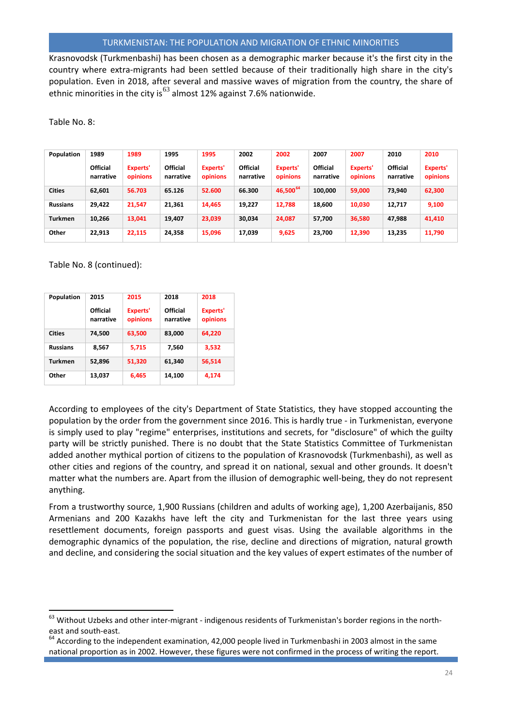Krasnovodsk (Turkmenbashi) has been chosen as a demographic marker because it's the first city in the country where extra-migrants had been settled because of their traditionally high share in the city's population. Even in 2018, after several and massive waves of migration from the country, the share of ethnic minorities in the city is<sup>[63](#page-24-0)</sup> almost 12% against 7.6% nationwide.

Table No. 8:

| Population      | 1989                         | 1989                 | 1995                         | 1995                 | 2002                         | 2002                 | 2007                         | 2007                 | 2010                         | 2010                 |
|-----------------|------------------------------|----------------------|------------------------------|----------------------|------------------------------|----------------------|------------------------------|----------------------|------------------------------|----------------------|
|                 | <b>Official</b><br>narrative | Experts'<br>opinions | <b>Official</b><br>narrative | Experts'<br>opinions | <b>Official</b><br>narrative | Experts'<br>opinions | <b>Official</b><br>narrative | Experts'<br>opinions | <b>Official</b><br>narrative | Experts'<br>opinions |
| <b>Cities</b>   | 62.601                       | 56.703               | 65.126                       | 52.600               | 66.300                       | 46,500 <sup>64</sup> | 100,000                      | 59,000               | 73,940                       | 62,300               |
| <b>Russians</b> | 29,422                       | 21,547               | 21.361                       | 14,465               | 19,227                       | 12,788               | 18,600                       | 10,030               | 12.717                       | 9,100                |
| <b>Turkmen</b>  | 10.266                       | 13,041               | 19,407                       | 23,039               | 30,034                       | 24,087               | 57,700                       | 36,580               | 47,988                       | 41,410               |
| Other           | 22.913                       | 22,115               | 24,358                       | 15,096               | 17,039                       | 9,625                | 23,700                       | 12,390               | 13,235                       | 11,790               |

Table No. 8 (continued):

l

| Population      | 2015<br>Official<br>narrative | 2015<br>Experts'<br>opinions | 2018<br>Official<br>narrative | 2018<br>Experts'<br>opinions |
|-----------------|-------------------------------|------------------------------|-------------------------------|------------------------------|
| <b>Cities</b>   | 74.500                        | 63,500                       | 83,000                        | 64.220                       |
| <b>Russians</b> | 8,567                         | 5.715                        | 7.560                         | 3,532                        |
| <b>Turkmen</b>  | 52,896                        | 51,320                       | 61,340                        | 56,514                       |
| Other           | 13,037                        | 6,465                        | 14.100                        | 4.174                        |

According to employees of the city's Department of State Statistics, they have stopped accounting the population by the order from the government since 2016. This is hardly true - in Turkmenistan, everyone is simply used to play "regime" enterprises, institutions and secrets, for "disclosure" of which the guilty party will be strictly punished. There is no doubt that the State Statistics Committee of Turkmenistan added another mythical portion of citizens to the population of Krasnovodsk (Turkmenbashi), as well as other cities and regions of the country, and spread it on national, sexual and other grounds. It doesn't matter what the numbers are. Apart from the illusion of demographic well-being, they do not represent anything.

From a trustworthy source, 1,900 Russians (children and adults of working age), 1,200 Azerbaijanis, 850 Armenians and 200 Kazakhs have left the city and Turkmenistan for the last three years using resettlement documents, foreign passports and guest visas. Using the available algorithms in the demographic dynamics of the population, the rise, decline and directions of migration, natural growth and decline, and considering the social situation and the key values of expert estimates of the number of

<span id="page-24-0"></span><sup>&</sup>lt;sup>63</sup> Without Uzbeks and other inter-migrant - indigenous residents of Turkmenistan's border regions in the northeast and south-east.<br><sup>64</sup> According to the independent examination, 42,000 people lived in Turkmenbashi in 2003 almost in the same

<span id="page-24-1"></span>national proportion as in 2002. However, these figures were not confirmed in the process of writing the report.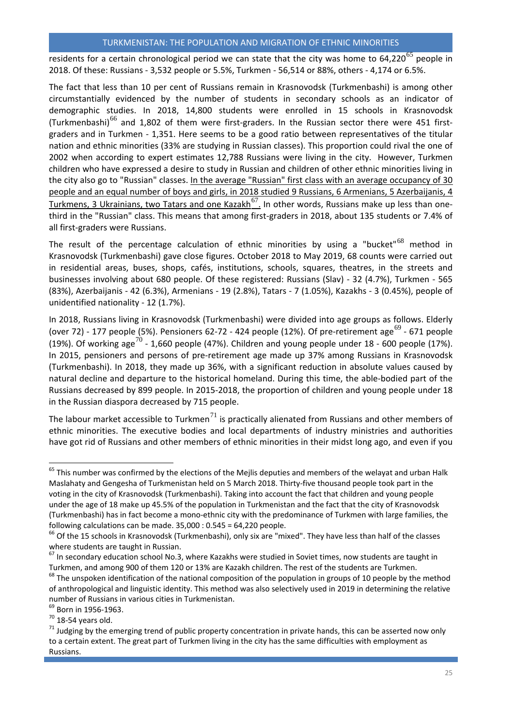residents for a certain chronological period we can state that the city was home to  $64,220^{65}$  $64,220^{65}$  $64,220^{65}$  people in 2018. Of these: Russians - 3,532 people or 5.5%, Turkmen - 56,514 or 88%, others - 4,174 or 6.5%.

The fact that less than 10 per cent of Russians remain in Krasnovodsk (Turkmenbashi) is among other circumstantially evidenced by the number of students in secondary schools as an indicator of demographic studies. In 2018, 14,800 students were enrolled in 15 schools in Krasnovodsk (Turkmenbashi)<sup>[66](#page-25-1)</sup> and 1,802 of them were first-graders. In the Russian sector there were 451 firstgraders and in Turkmen - 1,351. Here seems to be a good ratio between representatives of the titular nation and ethnic minorities (33% are studying in Russian classes). This proportion could rival the one of 2002 when according to expert estimates 12,788 Russians were living in the city. However, Turkmen children who have expressed a desire to study in Russian and children of other ethnic minorities living in the city also go to "Russian" classes. In the average "Russian" first class with an average occupancy of 30 people and an equal number of boys and girls, in 2018 studied 9 Russians, 6 Armenians, 5 Azerbaijanis, 4 Turkmens, 3 Ukrainians, two Tatars and one Kazakh $^{67}$  $^{67}$  $^{67}$ . In other words, Russians make up less than onethird in the "Russian" class. This means that among first-graders in 2018, about 135 students or 7.4% of all first-graders were Russians.

The result of the percentage calculation of ethnic minorities by using a "bucket"<sup>[68](#page-25-3)</sup> method in Krasnovodsk (Turkmenbashi) gave close figures. October 2018 to May 2019, 68 counts were carried out in residential areas, buses, shops, cafés, institutions, schools, squares, theatres, in the streets and businesses involving about 680 people. Of these registered: Russians (Slav) - 32 (4.7%), Turkmen - 565 (83%), Azerbaijanis - 42 (6.3%), Armenians - 19 (2.8%), Tatars - 7 (1.05%), Kazakhs - 3 (0.45%), people of unidentified nationality - 12 (1.7%).

In 2018, Russians living in Krasnovodsk (Turkmenbashi) were divided into age groups as follows. Elderly (over 72) - 177 people (5%). Pensioners 62-72 - 424 people (12%). Of pre-retirement age<sup>[69](#page-25-4)</sup> - 671 people (19%). Of working age<sup>[70](#page-25-5)</sup> - 1,660 people (47%). Children and young people under 18 - 600 people (17%). In 2015, pensioners and persons of pre-retirement age made up 37% among Russians in Krasnovodsk (Turkmenbashi). In 2018, they made up 36%, with a significant reduction in absolute values caused by natural decline and departure to the historical homeland. During this time, the able-bodied part of the Russians decreased by 899 people. In 2015-2018, the proportion of children and young people under 18 in the Russian diaspora decreased by 715 people.

The labour market accessible to Turkmen<sup>[71](#page-25-6)</sup> is practically alienated from Russians and other members of ethnic minorities. The executive bodies and local departments of industry ministries and authorities have got rid of Russians and other members of ethnic minorities in their midst long ago, and even if you

<span id="page-25-4"></span>

l

<span id="page-25-0"></span><sup>&</sup>lt;sup>65</sup> This number was confirmed by the elections of the Mejlis deputies and members of the welayat and urban Halk Maslahaty and Gengesha of Turkmenistan held on 5 March 2018. Thirty-five thousand people took part in the voting in the city of Krasnovodsk (Turkmenbashi). Taking into account the fact that children and young people under the age of 18 make up 45.5% of the population in Turkmenistan and the fact that the city of Krasnovodsk (Turkmenbashi) has in fact become a mono-ethnic city with the predominance of Turkmen with large families, the following calculations can be made. 35,000 : 0.545 = 64,220 people.

<span id="page-25-1"></span><sup>&</sup>lt;sup>66</sup> Of the 15 schools in Krasnovodsk (Turkmenbashi), only six are "mixed". They have less than half of the classes where students are taught in Russian.

<span id="page-25-2"></span><sup>&</sup>lt;sup>67</sup> In secondary education school No.3, where Kazakhs were studied in Soviet times, now students are taught in Turkmen, and among 900 of them 120 or 13% are Kazakh children. The rest of the students are Turkmen.

<span id="page-25-3"></span><sup>&</sup>lt;sup>68</sup> The unspoken identification of the national composition of the population in groups of 10 people by the method of anthropological and linguistic identity. This method was also selectively used in 2019 in determining the relative number of Russians in various cities in Turkmenistan.<br><sup>69</sup> Born in 1956-1963.

<span id="page-25-6"></span><span id="page-25-5"></span><sup>&</sup>lt;sup>70</sup> 18-54 years old.<br><sup>71</sup> Judging by the emerging trend of public property concentration in private hands, this can be asserted now only to a certain extent. The great part of Turkmen living in the city has the same difficulties with employment as Russians.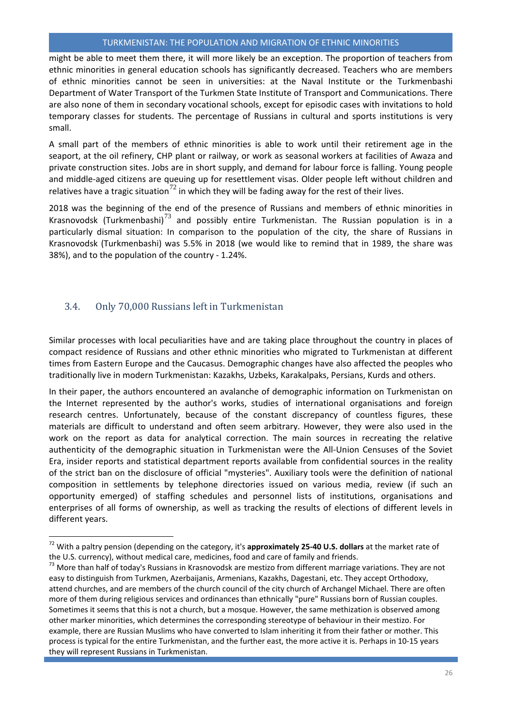might be able to meet them there, it will more likely be an exception. The proportion of teachers from ethnic minorities in general education schools has significantly decreased. Teachers who are members of ethnic minorities cannot be seen in universities: at the Naval Institute or the Turkmenbashi Department of Water Transport of the Turkmen State Institute of Transport and Communications. There are also none of them in secondary vocational schools, except for episodic cases with invitations to hold temporary classes for students. The percentage of Russians in cultural and sports institutions is very small.

A small part of the members of ethnic minorities is able to work until their retirement age in the seaport, at the oil refinery, CHP plant or railway, or work as seasonal workers at facilities of Awaza and private construction sites. Jobs are in short supply, and demand for labour force is falling. Young people and middle-aged citizens are queuing up for resettlement visas. Older people left without children and relatives have a tragic situation<sup>[72](#page-26-1)</sup> in which they will be fading away for the rest of their lives.

2018 was the beginning of the end of the presence of Russians and members of ethnic minorities in Krasnovodsk (Turkmenbashi)<sup>[73](#page-26-2)</sup> and possibly entire Turkmenistan. The Russian population is in a particularly dismal situation: In comparison to the population of the city, the share of Russians in Krasnovodsk (Turkmenbashi) was 5.5% in 2018 (we would like to remind that in 1989, the share was 38%), and to the population of the country - 1.24%.

## <span id="page-26-0"></span>3.4. Only 70,000 Russians left in Turkmenistan

l

Similar processes with local peculiarities have and are taking place throughout the country in places of compact residence of Russians and other ethnic minorities who migrated to Turkmenistan at different times from Eastern Europe and the Caucasus. Demographic changes have also affected the peoples who traditionally live in modern Turkmenistan: Kazakhs, Uzbeks, Karakalpaks, Persians, Kurds and others.

In their paper, the authors encountered an avalanche of demographic information on Turkmenistan on the Internet represented by the author's works, studies of international organisations and foreign research centres. Unfortunately, because of the constant discrepancy of countless figures, these materials are difficult to understand and often seem arbitrary. However, they were also used in the work on the report as data for analytical correction. The main sources in recreating the relative authenticity of the demographic situation in Turkmenistan were the All-Union Censuses of the Soviet Era, insider reports and statistical department reports available from confidential sources in the reality of the strict ban on the disclosure of official "mysteries". Auxiliary tools were the definition of national composition in settlements by telephone directories issued on various media, review (if such an opportunity emerged) of staffing schedules and personnel lists of institutions, organisations and enterprises of all forms of ownership, as well as tracking the results of elections of different levels in different years.

<span id="page-26-1"></span><sup>72</sup> With a paltry pension (depending on the category, it's **approximately 25-40 U.S. dollars** at the market rate of the U.S. currency), without medical care, medicines, food and care of family and friends.

<span id="page-26-2"></span><sup>&</sup>lt;sup>73</sup> More than half of today's Russians in Krasnovodsk are mestizo from different marriage variations. They are not easy to distinguish from Turkmen, Azerbaijanis, Armenians, Kazakhs, Dagestani, etc. They accept Orthodoxy, attend churches, and are members of the church council of the city church of Archangel Michael. There are often more of them during religious services and ordinances than ethnically "pure" Russians born of Russian couples. Sometimes it seems that this is not a church, but a mosque. However, the same methization is observed among other marker minorities, which determines the corresponding stereotype of behaviour in their mestizo. For example, there are Russian Muslims who have converted to Islam inheriting it from their father or mother. This process is typical for the entire Turkmenistan, and the further east, the more active it is. Perhaps in 10-15 years they will represent Russians in Turkmenistan.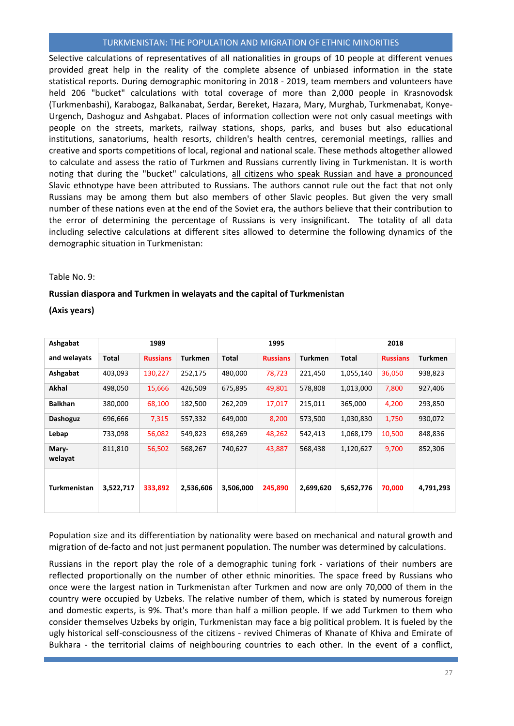Selective calculations of representatives of all nationalities in groups of 10 people at different venues provided great help in the reality of the complete absence of unbiased information in the state statistical reports. During demographic monitoring in 2018 - 2019, team members and volunteers have held 206 "bucket" calculations with total coverage of more than 2,000 people in Krasnovodsk (Turkmenbashi), Karabogaz, Balkanabat, Serdar, Bereket, Hazara, Mary, Murghab, Turkmenabat, Konye-Urgench, Dashoguz and Ashgabat. Places of information collection were not only casual meetings with people on the streets, markets, railway stations, shops, parks, and buses but also educational institutions, sanatoriums, health resorts, children's health centres, ceremonial meetings, rallies and creative and sports competitions of local, regional and national scale. These methods altogether allowed to calculate and assess the ratio of Turkmen and Russians currently living in Turkmenistan. It is worth noting that during the "bucket" calculations, all citizens who speak Russian and have a pronounced Slavic ethnotype have been attributed to Russians. The authors cannot rule out the fact that not only Russians may be among them but also members of other Slavic peoples. But given the very small number of these nations even at the end of the Soviet era, the authors believe that their contribution to the error of determining the percentage of Russians is very insignificant. The totality of all data including selective calculations at different sites allowed to determine the following dynamics of the demographic situation in Turkmenistan:

#### Table No. 9:

#### **Russian diaspora and Turkmen in welayats and the capital of Turkmenistan**

**(Axis years)**

| Ashgabat         | 1989      |                 |                | 1995      |                 |                | 2018      |                 |                |
|------------------|-----------|-----------------|----------------|-----------|-----------------|----------------|-----------|-----------------|----------------|
| and welayats     | Total     | <b>Russians</b> | <b>Turkmen</b> | Total     | <b>Russians</b> | <b>Turkmen</b> | Total     | <b>Russians</b> | <b>Turkmen</b> |
| Ashgabat         | 403,093   | 130,227         | 252,175        | 480,000   | 78,723          | 221,450        | 1,055,140 | 36,050          | 938,823        |
| <b>Akhal</b>     | 498,050   | 15,666          | 426,509        | 675,895   | 49,801          | 578,808        | 1,013,000 | 7,800           | 927,406        |
| <b>Balkhan</b>   | 380,000   | 68,100          | 182,500        | 262,209   | 17,017          | 215,011        | 365,000   | 4,200           | 293,850        |
| <b>Dashoguz</b>  | 696,666   | 7,315           | 557,332        | 649,000   | 8,200           | 573,500        | 1,030,830 | 1,750           | 930,072        |
| Lebap            | 733,098   | 56,082          | 549,823        | 698,269   | 48,262          | 542,413        | 1,068,179 | 10,500          | 848,836        |
| Mary-<br>welayat | 811,810   | 56,502          | 568,267        | 740,627   | 43,887          | 568,438        | 1,120,627 | 9,700           | 852,306        |
| Turkmenistan     | 3,522,717 | 333,892         | 2,536,606      | 3,506,000 | 245,890         | 2,699,620      | 5,652,776 | 70,000          | 4,791,293      |

Population size and its differentiation by nationality were based on mechanical and natural growth and migration of de-facto and not just permanent population. The number was determined by calculations.

Russians in the report play the role of a demographic tuning fork - variations of their numbers are reflected proportionally on the number of other ethnic minorities. The space freed by Russians who once were the largest nation in Turkmenistan after Turkmen and now are only 70,000 of them in the country were occupied by Uzbeks. The relative number of them, which is stated by numerous foreign and domestic experts, is 9%. That's more than half a million people. If we add Turkmen to them who consider themselves Uzbeks by origin, Turkmenistan may face a big political problem. It is fueled by the ugly historical self-consciousness of the citizens - revived Chimeras of Khanate of Khiva and Emirate of Bukhara - the territorial claims of neighbouring countries to each other. In the event of a conflict,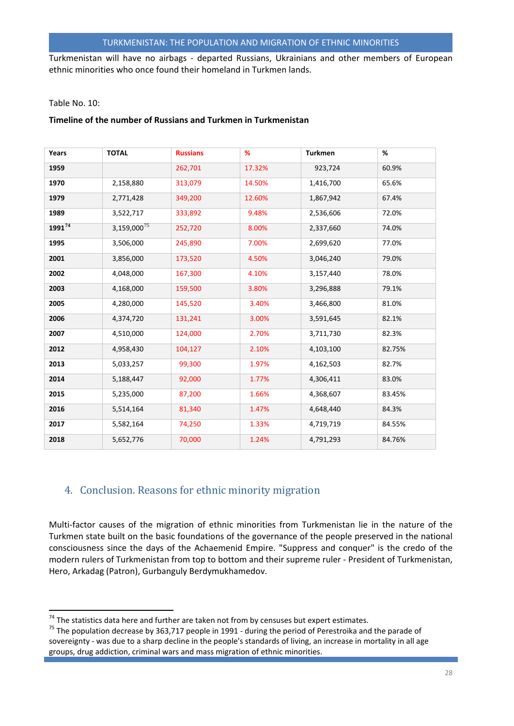Turkmenistan will have no airbags - departed Russians, Ukrainians and other members of European ethnic minorities who once found their homeland in Turkmen lands.

#### Table No. 10:

#### **Timeline of the number of Russians and Turkmen in Turkmenistan**

| Years       | <b>TOTAL</b>     | <b>Russians</b> | %      | <b>Turkmen</b> | %      |
|-------------|------------------|-----------------|--------|----------------|--------|
| 1959        |                  | 262,701         | 17.32% | 923,724        | 60.9%  |
| 1970        | 2,158,880        | 313,079         | 14.50% | 1,416,700      | 65.6%  |
| 1979        | 2,771,428        | 349,200         | 12.60% | 1,867,942      | 67.4%  |
| 1989        | 3,522,717        | 333,892         | 9.48%  | 2,536,606      | 72.0%  |
| $1991^{74}$ | $3,159,000^{75}$ | 252,720         | 8.00%  | 2,337,660      | 74.0%  |
| 1995        | 3,506,000        | 245,890         | 7.00%  | 2,699,620      | 77.0%  |
| 2001        | 3,856,000        | 173,520         | 4.50%  | 3,046,240      | 79.0%  |
| 2002        | 4,048,000        | 167,300         | 4.10%  | 3,157,440      | 78.0%  |
| 2003        | 4,168,000        | 159,500         | 3.80%  | 3,296,888      | 79.1%  |
| 2005        | 4,280,000        | 145,520         | 3.40%  | 3,466,800      | 81.0%  |
| 2006        | 4,374,720        | 131,241         | 3.00%  | 3,591,645      | 82.1%  |
| 2007        | 4,510,000        | 124,000         | 2.70%  | 3,711,730      | 82.3%  |
| 2012        | 4,958,430        | 104,127         | 2.10%  | 4,103,100      | 82.75% |
| 2013        | 5,033,257        | 99,300          | 1.97%  | 4,162,503      | 82.7%  |
| 2014        | 5,188,447        | 92,000          | 1.77%  | 4,306,411      | 83.0%  |
| 2015        | 5,235,000        | 87,200          | 1.66%  | 4,368,607      | 83.45% |
| 2016        | 5,514,164        | 81,340          | 1.47%  | 4,648,440      | 84.3%  |
| 2017        | 5,582,164        | 74,250          | 1.33%  | 4,719,719      | 84.55% |
| 2018        | 5,652,776        | 70,000          | 1.24%  | 4,791,293      | 84.76% |

## <span id="page-28-0"></span>4. Conclusion. Reasons for ethnic minority migration

Multi-factor causes of the migration of ethnic minorities from Turkmenistan lie in the nature of the Turkmen state built on the basic foundations of the governance of the people preserved in the national consciousness since the days of the Achaemenid Empire. "Suppress and conquer" is the credo of the modern rulers of Turkmenistan from top to bottom and their supreme ruler - President of Turkmenistan, Hero, Arkadag (Patron), Gurbanguly Berdymukhamedov.

<span id="page-28-1"></span> $74$  The statistics data here and further are taken not from by censuses but expert estimates.

<span id="page-28-2"></span>The statistics data here the further are taken not from butcher are taken not from butcher are taken  $\frac{1}{25}$  The population decrease by 363,717 people in 1991 - during the period of Perestroika and the parade of sovereignty - was due to a sharp decline in the people's standards of living, an increase in mortality in all age groups, drug addiction, criminal wars and mass migration of ethnic minorities.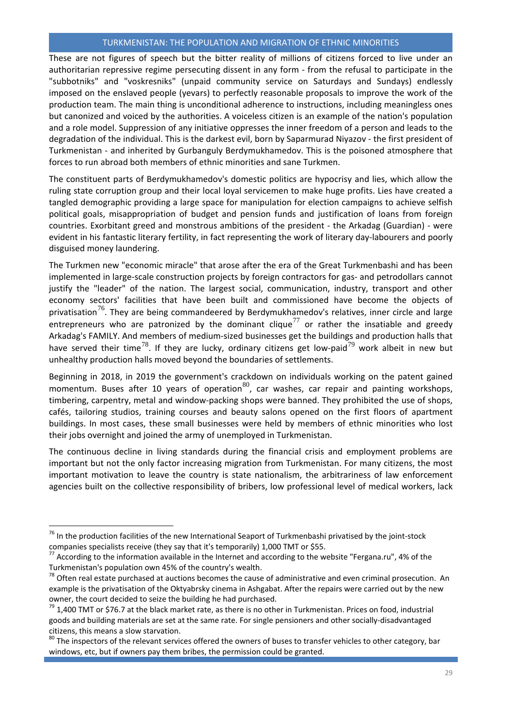These are not figures of speech but the bitter reality of millions of citizens forced to live under an authoritarian repressive regime persecuting dissent in any form - from the refusal to participate in the "subbotniks" and "voskresniks" (unpaid community service on Saturdays and Sundays) endlessly imposed on the enslaved people (yevars) to perfectly reasonable proposals to improve the work of the production team. The main thing is unconditional adherence to instructions, including meaningless ones but canonized and voiced by the authorities. A voiceless citizen is an example of the nation's population and a role model. Suppression of any initiative oppresses the inner freedom of a person and leads to the degradation of the individual. This is the darkest evil, born by Saparmurad Niyazov - the first president of Turkmenistan - and inherited by Gurbanguly Berdymukhamedov. This is the poisoned atmosphere that forces to run abroad both members of ethnic minorities and sane Turkmen.

The constituent parts of Berdymukhamedov's domestic politics are hypocrisy and lies, which allow the ruling state corruption group and their local loyal servicemen to make huge profits. Lies have created a tangled demographic providing a large space for manipulation for election campaigns to achieve selfish political goals, misappropriation of budget and pension funds and justification of loans from foreign countries. Exorbitant greed and monstrous ambitions of the president - the Arkadag (Guardian) - were evident in his fantastic literary fertility, in fact representing the work of literary day-labourers and poorly disguised money laundering.

The Turkmen new "economic miracle" that arose after the era of the Great Turkmenbashi and has been implemented in large-scale construction projects by foreign contractors for gas- and petrodollars cannot justify the "leader" of the nation. The largest social, communication, industry, transport and other economy sectors' facilities that have been built and commissioned have become the objects of privatisation<sup>[76](#page-29-0)</sup>. They are being commandeered by Berdymukhamedov's relatives, inner circle and large entrepreneurs who are patronized by the dominant clique<sup>[77](#page-29-1)</sup> or rather the insatiable and greedy Arkadag's FAMILY. And members of medium-sized businesses get the buildings and production halls that have served their time<sup>[78](#page-29-2)</sup>. If they are lucky, ordinary citizens get low-paid<sup>[79](#page-29-3)</sup> work albeit in new but unhealthy production halls moved beyond the boundaries of settlements.

Beginning in 2018, in 2019 the government's crackdown on individuals working on the patent gained momentum. Buses after 10 years of operation $^{80}$  $^{80}$  $^{80}$ , car washes, car repair and painting workshops, timbering, carpentry, metal and window-packing shops were banned. They prohibited the use of shops, cafés, tailoring studios, training courses and beauty salons opened on the first floors of apartment buildings. In most cases, these small businesses were held by members of ethnic minorities who lost their jobs overnight and joined the army of unemployed in Turkmenistan.

The continuous decline in living standards during the financial crisis and employment problems are important but not the only factor increasing migration from Turkmenistan. For many citizens, the most important motivation to leave the country is state nationalism, the arbitrariness of law enforcement agencies built on the collective responsibility of bribers, low professional level of medical workers, lack

 $\overline{\phantom{a}}$ 

<span id="page-29-0"></span> $76$  In the production facilities of the new International Seaport of Turkmenbashi privatised by the joint-stock companies specialists receive (they say that it's temporarily) 1,000 TMT or \$55.

<span id="page-29-1"></span><sup>77</sup> According to the information available in the Internet and according to the website "Fergana.ru", 4% of the Turkmenistan's population own 45% of the country's wealth.

<span id="page-29-2"></span><sup>&</sup>lt;sup>78</sup> Often real estate purchased at auctions becomes the cause of administrative and even criminal prosecution. An example is the privatisation of the Oktyabrsky cinema in Ashgabat. After the repairs were carried out by the new owner, the court decided to seize the building he had purchased.

<span id="page-29-3"></span> $79$  1,400 TMT or \$76.7 at the black market rate, as there is no other in Turkmenistan. Prices on food, industrial goods and building materials are set at the same rate. For single pensioners and other socially-disadvantaged citizens, this means a slow starvation.

<span id="page-29-4"></span><sup>&</sup>lt;sup>80</sup> The inspectors of the relevant services offered the owners of buses to transfer vehicles to other category, bar windows, etc, but if owners pay them bribes, the permission could be granted.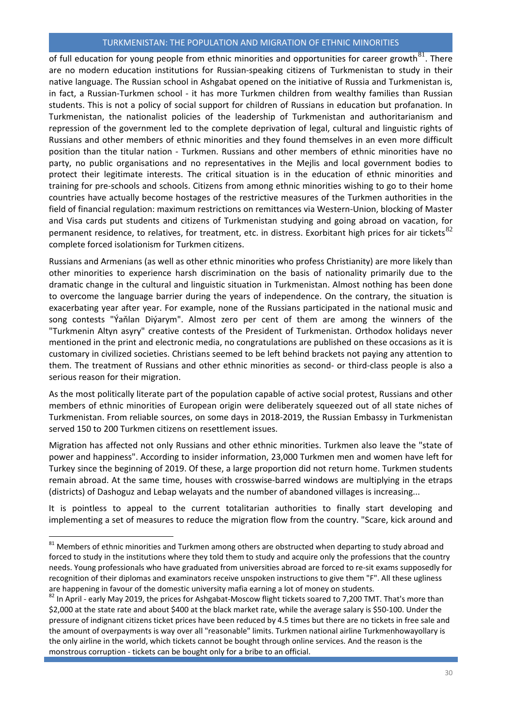of full education for young people from ethnic minorities and opportunities for career growth<sup>[81](#page-30-0)</sup>. There are no modern education institutions for Russian-speaking citizens of Turkmenistan to study in their native language. The Russian school in Ashgabat opened on the initiative of Russia and Turkmenistan is, in fact, a Russian-Turkmen school - it has more Turkmen children from wealthy families than Russian students. This is not a policy of social support for children of Russians in education but profanation. In Turkmenistan, the nationalist policies of the leadership of Turkmenistan and authoritarianism and repression of the government led to the complete deprivation of legal, cultural and linguistic rights of Russians and other members of ethnic minorities and they found themselves in an even more difficult position than the titular nation - Turkmen. Russians and other members of ethnic minorities have no party, no public organisations and no representatives in the Mejlis and local government bodies to protect their legitimate interests. The critical situation is in the education of ethnic minorities and training for pre-schools and schools. Citizens from among ethnic minorities wishing to go to their home countries have actually become hostages of the restrictive measures of the Turkmen authorities in the field of financial regulation: maximum restrictions on remittances via Western-Union, blocking of Master and Visa cards put students and citizens of Turkmenistan studying and going abroad on vacation, for permanent residence, to relatives, for treatment, etc. in distress. Exorbitant high prices for air tickets $82$ complete forced isolationism for Turkmen citizens.

Russians and Armenians (as well as other ethnic minorities who profess Christianity) are more likely than other minorities to experience harsh discrimination on the basis of nationality primarily due to the dramatic change in the cultural and linguistic situation in Turkmenistan. Almost nothing has been done to overcome the language barrier during the years of independence. On the contrary, the situation is exacerbating year after year. For example, none of the Russians participated in the national music and song contests "Ýaňlan Diýarym". Almost zero per cent of them are among the winners of the "Turkmenin Altyn asyry" creative contests of the President of Turkmenistan. Orthodox holidays never mentioned in the print and electronic media, no congratulations are published on these occasions as it is customary in civilized societies. Christians seemed to be left behind brackets not paying any attention to them. The treatment of Russians and other ethnic minorities as second- or third-class people is also a serious reason for their migration.

As the most politically literate part of the population capable of active social protest, Russians and other members of ethnic minorities of European origin were deliberately squeezed out of all state niches of Turkmenistan. From reliable sources, on some days in 2018-2019, the Russian Embassy in Turkmenistan served 150 to 200 Turkmen citizens on resettlement issues.

Migration has affected not only Russians and other ethnic minorities. Turkmen also leave the "state of power and happiness". According to insider information, 23,000 Turkmen men and women have left for Turkey since the beginning of 2019. Of these, a large proportion did not return home. Turkmen students remain abroad. At the same time, houses with crosswise-barred windows are multiplying in the etraps (districts) of Dashoguz and Lebap welayats and the number of abandoned villages is increasing...

It is pointless to appeal to the current totalitarian authorities to finally start developing and implementing a set of measures to reduce the migration flow from the country. "Scare, kick around and

l

<span id="page-30-0"></span> $81$  Members of ethnic minorities and Turkmen among others are obstructed when departing to study abroad and forced to study in the institutions where they told them to study and acquire only the professions that the country needs. Young professionals who have graduated from universities abroad are forced to re-sit exams supposedly for recognition of their diplomas and examinators receive unspoken instructions to give them "F". All these ugliness are happening in favour of the domestic university mafia earning a lot of money on students.

<span id="page-30-1"></span><sup>&</sup>lt;sup>82</sup> In April - early May 2019, the prices for Ashgabat-Moscow flight tickets soared to 7,200 TMT. That's more than \$2,000 at the state rate and about \$400 at the black market rate, while the average salary is \$50-100. Under the pressure of indignant citizens ticket prices have been reduced by 4.5 times but there are no tickets in free sale and the amount of overpayments is way over all "reasonable" limits. Turkmen national airline Turkmenhowayollary is the only airline in the world, which tickets cannot be bought through online services. And the reason is the monstrous corruption - tickets can be bought only for a bribe to an official.